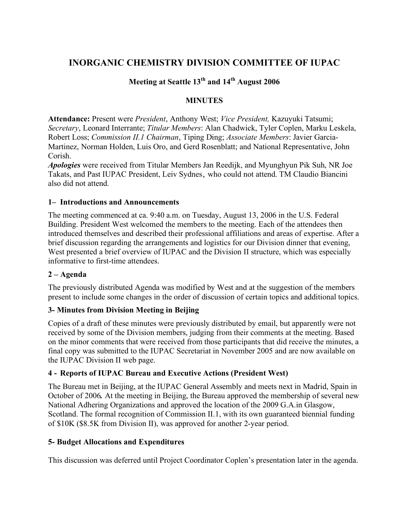## **INORGANIC CHEMISTRY DIVISION COMMITTEE OF IUPAC**

## **Meeting at Seattle 13th and 14th August 2006**

## **MINUTES**

**Attendance:** Present were *President*, Anthony West; *Vice President,* Kazuyuki Tatsumi; *Secretary*, Leonard Interrante; *Titular Members*: Alan Chadwick, Tyler Coplen, Marku Leskela, Robert Loss; *Commission II.1 Chairman*, Tiping Ding; *Associate Members*: Javier Garcia-Martinez, Norman Holden, Luis Oro, and Gerd Rosenblatt; and National Representative, John Corish.

*Apologies* were received from Titular Members Jan Reedijk, and Myunghyun Pik Suh, NR Joe Takats, and Past IUPAC President, Leiv Sydnes, who could not attend. TM Claudio Biancini also did not attend.

### **1– Introductions and Announcements**

The meeting commenced at ca. 9:40 a.m. on Tuesday, August 13, 2006 in the U.S. Federal Building. President West welcomed the members to the meeting. Each of the attendees then introduced themselves and described their professional affiliations and areas of expertise. After a brief discussion regarding the arrangements and logistics for our Division dinner that evening, West presented a brief overview of IUPAC and the Division II structure, which was especially informative to first-time attendees.

### **2 – Agenda**

The previously distributed Agenda was modified by West and at the suggestion of the members present to include some changes in the order of discussion of certain topics and additional topics.

### **3- Minutes from Division Meeting in Beijing**

Copies of a draft of these minutes were previously distributed by email, but apparently were not received by some of the Division members, judging from their comments at the meeting. Based on the minor comments that were received from those participants that did receive the minutes, a final copy was submitted to the IUPAC Secretariat in November 2005 and are now available on the IUPAC Division II web page.

### **4 - Reports of IUPAC Bureau and Executive Actions (President West)**

The Bureau met in Beijing, at the IUPAC General Assembly and meets next in Madrid, Spain in October of 2006*.* At the meeting in Beijing, the Bureau approved the membership of several new National Adhering Organizations and approved the location of the 2009 G.A.in Glasgow, Scotland. The formal recognition of Commission II.1, with its own guaranteed biennial funding of \$10K (\$8.5K from Division II), was approved for another 2-year period.

### **5- Budget Allocations and Expenditures**

This discussion was deferred until Project Coordinator Coplen's presentation later in the agenda.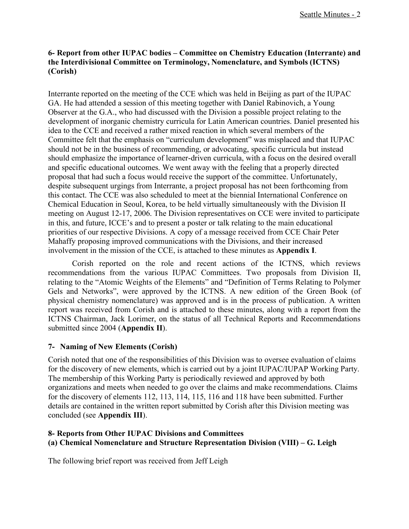## **6- Report from other IUPAC bodies – Committee on Chemistry Education (Interrante) and the Interdivisional Committee on Terminology, Nomenclature, and Symbols (ICTNS) (Corish)**

Interrante reported on the meeting of the CCE which was held in Beijing as part of the IUPAC GA. He had attended a session of this meeting together with Daniel Rabinovich, a Young Observer at the G.A., who had discussed with the Division a possible project relating to the development of inorganic chemistry curricula for Latin American countries. Daniel presented his idea to the CCE and received a rather mixed reaction in which several members of the Committee felt that the emphasis on "curriculum development" was misplaced and that IUPAC should not be in the business of recommending, or advocating, specific curricula but instead should emphasize the importance of learner-driven curricula, with a focus on the desired overall and specific educational outcomes. We went away with the feeling that a properly directed proposal that had such a focus would receive the support of the committee. Unfortunately, despite subsequent urgings from Interrante, a project proposal has not been forthcoming from this contact. The CCE was also scheduled to meet at the biennial International Conference on Chemical Education in Seoul, Korea, to be held virtually simultaneously with the Division II meeting on August 12-17, 2006. The Division representatives on CCE were invited to participate in this, and future, ICCE's and to present a poster or talk relating to the main educational priorities of our respective Divisions. A copy of a message received from CCE Chair Peter Mahaffy proposing improved communications with the Divisions, and their increased involvement in the mission of the CCE, is attached to these minutes as **Appendix I**.

Corish reported on the role and recent actions of the ICTNS, which reviews recommendations from the various IUPAC Committees. Two proposals from Division II, relating to the "Atomic Weights of the Elements" and "Definition of Terms Relating to Polymer Gels and Networks", were approved by the ICTNS. A new edition of the Green Book (of physical chemistry nomenclature) was approved and is in the process of publication. A written report was received from Corish and is attached to these minutes, along with a report from the ICTNS Chairman, Jack Lorimer, on the status of all Technical Reports and Recommendations submitted since 2004 (**Appendix II**).

## **7- Naming of New Elements (Corish)**

Corish noted that one of the responsibilities of this Division was to oversee evaluation of claims for the discovery of new elements, which is carried out by a joint IUPAC/IUPAP Working Party. The membership of this Working Party is periodically reviewed and approved by both organizations and meets when needed to go over the claims and make recommendations. Claims for the discovery of elements 112, 113, 114, 115, 116 and 118 have been submitted. Further details are contained in the written report submitted by Corish after this Division meeting was concluded (see **Appendix III**).

## **8- Reports from Other IUPAC Divisions and Committees (a) Chemical Nomenclature and Structure Representation Division (VIII) – G. Leigh**

The following brief report was received from Jeff Leigh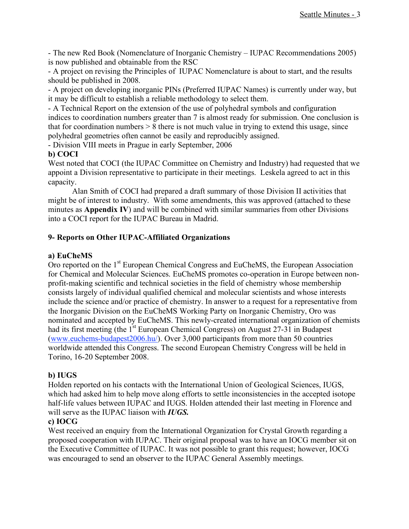- The new Red Book (Nomenclature of Inorganic Chemistry – IUPAC Recommendations 2005) is now published and obtainable from the RSC

- A project on revising the Principles of IUPAC Nomenclature is about to start, and the results should be published in 2008.

- A project on developing inorganic PINs (Preferred IUPAC Names) is currently under way, but it may be difficult to establish a reliable methodology to select them.

- A Technical Report on the extension of the use of polyhedral symbols and configuration indices to coordination numbers greater than 7 is almost ready for submission. One conclusion is that for coordination numbers  $> 8$  there is not much value in trying to extend this usage, since polyhedral geometries often cannot be easily and reproducibly assigned.

- Division VIII meets in Prague in early September, 2006

## **b) COCI**

West noted that COCI (the IUPAC Committee on Chemistry and Industry) had requested that we appoint a Division representative to participate in their meetings. Leskela agreed to act in this capacity.

Alan Smith of COCI had prepared a draft summary of those Division II activities that might be of interest to industry. With some amendments, this was approved (attached to these minutes as **Appendix IV**) and will be combined with similar summaries from other Divisions into a COCI report for the IUPAC Bureau in Madrid.

## **9- Reports on Other IUPAC-Affiliated Organizations**

## **a) EuCheMS**

Oro reported on the 1<sup>st</sup> European Chemical Congress and EuCheMS, the European Association for Chemical and Molecular Sciences. EuCheMS promotes co-operation in Europe between nonprofit-making scientific and technical societies in the field of chemistry whose membership consists largely of individual qualified chemical and molecular scientists and whose interests include the science and/or practice of chemistry. In answer to a request for a representative from the Inorganic Division on the EuCheMS Working Party on Inorganic Chemistry, Oro was nominated and accepted by EuCheMS. This newly-created international organization of chemists had its first meeting (the 1<sup>st</sup> European Chemical Congress) on August 27-31 in Budapest (www.euchems-budapest2006.hu/). Over 3,000 participants from more than 50 countries worldwide attended this Congress. The second European Chemistry Congress will be held in Torino, 16-20 September 2008.

## **b) IUGS**

Holden reported on his contacts with the International Union of Geological Sciences, IUGS, which had asked him to help move along efforts to settle inconsistencies in the accepted isotope half-life values between IUPAC and IUGS. Holden attended their last meeting in Florence and will serve as the IUPAC liaison with *IUGS.*

## **c) IOCG**

West received an enquiry from the International Organization for Crystal Growth regarding a proposed cooperation with IUPAC. Their original proposal was to have an IOCG member sit on the Executive Committee of IUPAC. It was not possible to grant this request; however, IOCG was encouraged to send an observer to the IUPAC General Assembly meetings.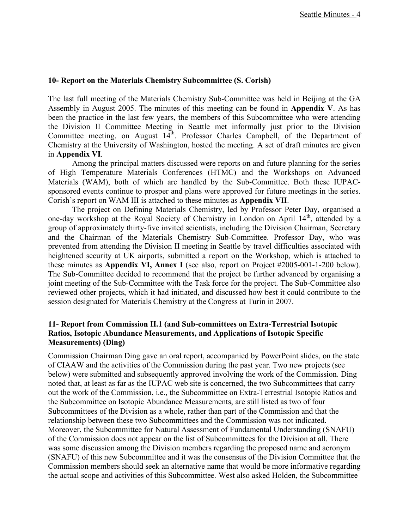### **10- Report on the Materials Chemistry Subcommittee (S. Corish)**

The last full meeting of the Materials Chemistry Sub-Committee was held in Beijing at the GA Assembly in August 2005. The minutes of this meeting can be found in **Appendix V**. As has been the practice in the last few years, the members of this Subcommittee who were attending the Division II Committee Meeting in Seattle met informally just prior to the Division Committee meeting, on August 14<sup>th</sup>. Professor Charles Campbell, of the Department of Chemistry at the University of Washington, hosted the meeting. A set of draft minutes are given in **Appendix VI**.

Among the principal matters discussed were reports on and future planning for the series of High Temperature Materials Conferences (HTMC) and the Workshops on Advanced Materials (WAM), both of which are handled by the Sub-Committee. Both these IUPACsponsored events continue to prosper and plans were approved for future meetings in the series. Corish's report on WAM III is attached to these minutes as **Appendix VII**.

The project on Defining Materials Chemistry, led by Professor Peter Day, organised a one-day workshop at the Royal Society of Chemistry in London on April 14<sup>th</sup>, attended by a group of approximately thirty-five invited scientists, including the Division Chairman, Secretary and the Chairman of the Materials Chemistry Sub-Committee. Professor Day, who was prevented from attending the Division II meeting in Seattle by travel difficulties associated with heightened security at UK airports, submitted a report on the Workshop, which is attached to these minutes as **Appendix VI, Annex I** (see also, report on Project #2005-001-1-200 below). The Sub-Committee decided to recommend that the project be further advanced by organising a joint meeting of the Sub-Committee with the Task force for the project. The Sub-Committee also reviewed other projects, which it had initiated, and discussed how best it could contribute to the session designated for Materials Chemistry at the Congress at Turin in 2007.

## **11- Report from Commission II.1 (and Sub-committees on Extra-Terrestrial Isotopic Ratios, Isotopic Abundance Measurements, and Applications of Isotopic Specific Measurements) (Ding)**

Commission Chairman Ding gave an oral report, accompanied by PowerPoint slides, on the state of CIAAW and the activities of the Commission during the past year. Two new projects (see below) were submitted and subsequently approved involving the work of the Commission. Ding noted that, at least as far as the IUPAC web site is concerned, the two Subcommittees that carry out the work of the Commission, i.e., the Subcommittee on Extra-Terrestrial Isotopic Ratios and the Subcommittee on Isotopic Abundance Measurements, are still listed as two of four Subcommittees of the Division as a whole, rather than part of the Commission and that the relationship between these two Subcommittees and the Commission was not indicated. Moreover, the Subcommittee for Natural Assessment of Fundamental Understanding (SNAFU) of the Commission does not appear on the list of Subcommittees for the Division at all. There was some discussion among the Division members regarding the proposed name and acronym (SNAFU) of this new Subcommittee and it was the consensus of the Division Committee that the Commission members should seek an alternative name that would be more informative regarding the actual scope and activities of this Subcommittee. West also asked Holden, the Subcommittee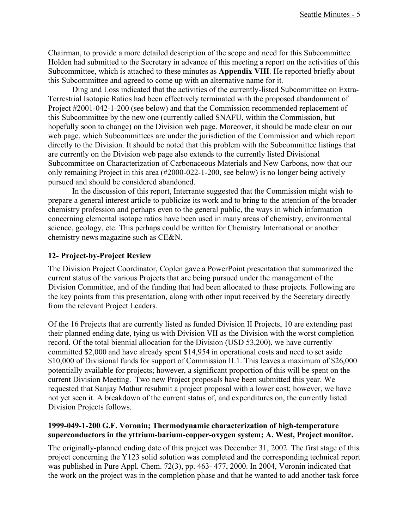Chairman, to provide a more detailed description of the scope and need for this Subcommittee. Holden had submitted to the Secretary in advance of this meeting a report on the activities of this Subcommittee, which is attached to these minutes as **Appendix VIII**. He reported briefly about this Subcommittee and agreed to come up with an alternative name for it.

Ding and Loss indicated that the activities of the currently-listed Subcommittee on Extra-Terrestrial Isotopic Ratios had been effectively terminated with the proposed abandonment of Project #2001-042-1-200 (see below) and that the Commission recommended replacement of this Subcommittee by the new one (currently called SNAFU, within the Commission, but hopefully soon to change) on the Division web page. Moreover, it should be made clear on our web page, which Subcommittees are under the jurisdiction of the Commission and which report directly to the Division. It should be noted that this problem with the Subcommittee listings that are currently on the Division web page also extends to the currently listed Divisional Subcommittee on Characterization of Carbonaceous Materials and New Carbons, now that our only remaining Project in this area (#2000-022-1-200, see below) is no longer being actively pursued and should be considered abandoned.

In the discussion of this report, Interrante suggested that the Commission might wish to prepare a general interest article to publicize its work and to bring to the attention of the broader chemistry profession and perhaps even to the general public, the ways in which information concerning elemental isotope ratios have been used in many areas of chemistry, environmental science, geology, etc. This perhaps could be written for Chemistry International or another chemistry news magazine such as CE&N.

## **12- Project-by-Project Review**

The Division Project Coordinator, Coplen gave a PowerPoint presentation that summarized the current status of the various Projects that are being pursued under the management of the Division Committee, and of the funding that had been allocated to these projects. Following are the key points from this presentation, along with other input received by the Secretary directly from the relevant Project Leaders.

Of the 16 Projects that are currently listed as funded Division II Projects, 10 are extending past their planned ending date, tying us with Division VII as the Division with the worst completion record. Of the total biennial allocation for the Division (USD 53,200), we have currently committed \$2,000 and have already spent \$14,954 in operational costs and need to set aside \$10,000 of Divisional funds for support of Commission II.1. This leaves a maximum of \$26,000 potentially available for projects; however, a significant proportion of this will be spent on the current Division Meeting. Two new Project proposals have been submitted this year. We requested that Sanjay Mathur resubmit a project proposal with a lower cost; however, we have not yet seen it. A breakdown of the current status of, and expenditures on, the currently listed Division Projects follows.

### **1999-049-1-200 G.F. Voronin; Thermodynamic characterization of high-temperature superconductors in the yttrium-barium-copper-oxygen system; A. West, Project monitor.**

The originally-planned ending date of this project was December 31, 2002. The first stage of this project concerning the Y123 solid solution was completed and the corresponding technical report was published in Pure Appl. Chem. 72(3), pp. 463- 477, 2000. In 2004, Voronin indicated that the work on the project was in the completion phase and that he wanted to add another task force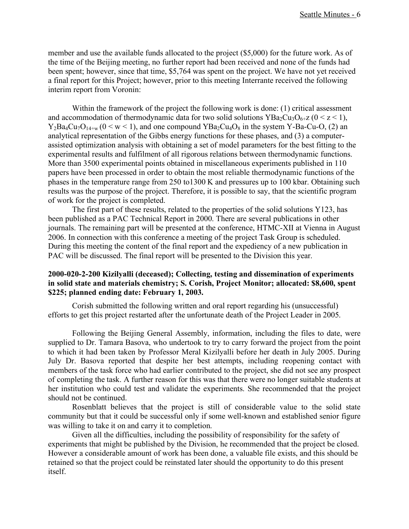member and use the available funds allocated to the project (\$5,000) for the future work. As of the time of the Beijing meeting, no further report had been received and none of the funds had been spent; however, since that time, \$5,764 was spent on the project. We have not yet received a final report for this Project; however, prior to this meeting Interrante received the following interim report from Voronin:

Within the framework of the project the following work is done: (1) critical assessment and accommodation of thermodynamic data for two solid solutions  $YBa_2Cu_3O_{6+Z}$  ( $0 < z < 1$ ),  $Y_2Ba_4Cu_7O_{14+w}$  ( $0 \le w \le 1$ ), and one compound  $YBa_2Cu_4O_8$  in the system Y-Ba-Cu-O, (2) an analytical representation of the Gibbs energy functions for these phases, and (3) a computerassisted optimization analysis with obtaining a set of model parameters for the best fitting to the experimental results and fulfilment of all rigorous relations between thermodynamic functions. More than 3500 experimental points obtained in miscellaneous experiments published in 110 papers have been processed in order to obtain the most reliable thermodynamic functions of the phases in the temperature range from 250 to1300 K and pressures up to 100 kbar. Obtaining such results was the purpose of the project. Therefore, it is possible to say, that the scientific program of work for the project is completed.

The first part of these results, related to the properties of the solid solutions Y123, has been published as a PAC Technical Report in 2000. There are several publications in other journals. The remaining part will be presented at the conference, HTMC-XII at Vienna in August 2006. In connection with this conference a meeting of the project Task Group is scheduled. During this meeting the content of the final report and the expediency of a new publication in PAC will be discussed. The final report will be presented to the Division this year.

### **2000-020-2-200 Kizilyalli (deceased); Collecting, testing and dissemination of experiments in solid state and materials chemistry; S. Corish, Project Monitor; allocated: \$8,600, spent \$225; planned ending date: February 1, 2003.**

Corish submitted the following written and oral report regarding his (unsuccessful) efforts to get this project restarted after the unfortunate death of the Project Leader in 2005.

Following the Beijing General Assembly, information, including the files to date, were supplied to Dr. Tamara Basova, who undertook to try to carry forward the project from the point to which it had been taken by Professor Meral Kizilyalli before her death in July 2005. During July Dr. Basova reported that despite her best attempts, including reopening contact with members of the task force who had earlier contributed to the project, she did not see any prospect of completing the task. A further reason for this was that there were no longer suitable students at her institution who could test and validate the experiments. She recommended that the project should not be continued.

Rosenblatt believes that the project is still of considerable value to the solid state community but that it could be successful only if some well-known and established senior figure was willing to take it on and carry it to completion.

Given all the difficulties, including the possibility of responsibility for the safety of experiments that might be published by the Division, he recommended that the project be closed. However a considerable amount of work has been done, a valuable file exists, and this should be retained so that the project could be reinstated later should the opportunity to do this present itself.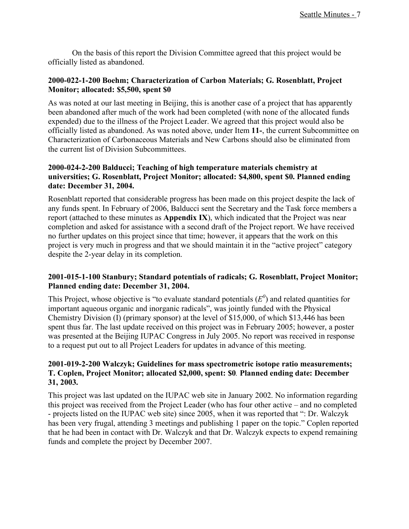On the basis of this report the Division Committee agreed that this project would be officially listed as abandoned.

### **2000-022-1-200 Boehm; Characterization of Carbon Materials; G. Rosenblatt, Project Monitor; allocated: \$5,500, spent \$0**

As was noted at our last meeting in Beijing, this is another case of a project that has apparently been abandoned after much of the work had been completed (with none of the allocated funds expended) due to the illness of the Project Leader. We agreed that this project would also be officially listed as abandoned. As was noted above, under Item **11-**, the current Subcommittee on Characterization of Carbonaceous Materials and New Carbons should also be eliminated from the current list of Division Subcommittees.

## **2000-024-2-200 Balducci; Teaching of high temperature materials chemistry at universities; G. Rosenblatt, Project Monitor; allocated: \$4,800, spent \$0. Planned ending date: December 31, 2004.**

Rosenblatt reported that considerable progress has been made on this project despite the lack of any funds spent. In February of 2006, Balducci sent the Secretary and the Task force members a report (attached to these minutes as **Appendix IX**), which indicated that the Project was near completion and asked for assistance with a second draft of the Project report. We have received no further updates on this project since that time; however, it appears that the work on this project is very much in progress and that we should maintain it in the "active project" category despite the 2-year delay in its completion.

## **2001-015-1-100 Stanbury; Standard potentials of radicals; G. Rosenblatt, Project Monitor; Planned ending date: December 31, 2004.**

This Project, whose objective is "to evaluate standard potentials  $(E^0)$  and related quantities for important aqueous organic and inorganic radicals", was jointly funded with the Physical Chemistry Division (I) (primary sponsor) at the level of \$15,000, of which \$13,446 has been spent thus far. The last update received on this project was in February 2005; however, a poster was presented at the Beijing IUPAC Congress in July 2005. No report was received in response to a request put out to all Project Leaders for updates in advance of this meeting.

## **2001-019-2-200 Walczyk; Guidelines for mass spectrometric isotope ratio measurements; T. Coplen, Project Monitor; allocated \$2,000, spent: \$0***.* **Planned ending date: December 31, 2003.**

This project was last updated on the IUPAC web site in January 2002. No information regarding this project was received from the Project Leader (who has four other active – and no completed - projects listed on the IUPAC web site) since 2005, when it was reported that ": Dr. Walczyk has been very frugal, attending 3 meetings and publishing 1 paper on the topic." Coplen reported that he had been in contact with Dr. Walczyk and that Dr. Walczyk expects to expend remaining funds and complete the project by December 2007.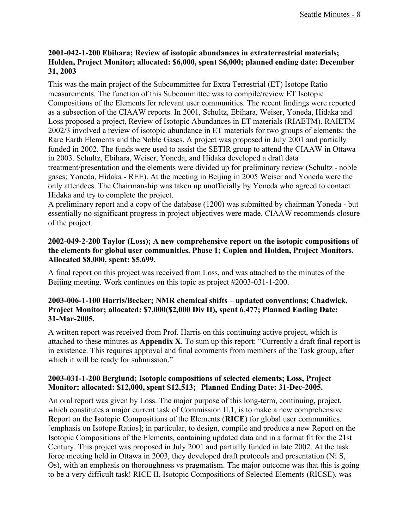## **2001-042-1-200 Ebihara; Review of isotopic abundances in extraterrestrial materials; Holden, Project Monitor; allocated: \$6,000, spent \$6,000; planned ending date: December 31, 2003**

This was the main project of the Subcommittee for Extra Terrestrial (ET) Isotope Ratio measurements. The function of this Subcommittee was to compile/review ET Isotopic Compositions of the Elements for relevant user communities. The recent findings were reported as a subsection of the CIAAW reports. In 2001, Schultz, Ebihara, Weiser, Yoneda, Hidaka and Loss proposed a project, Review of Isotopic Abundances in ET materials (RIAETM). RAIETM 2002/3 involved a review of isotopic abundance in ET materials for two groups of elements: the Rare Earth Elements and the Noble Gases. A project was proposed in July 2001 and partially funded in 2002. The funds were used to assist the SETIR group to attend the CIAAW in Ottawa in 2003. Schultz, Ebihara, Weiser, Yoneda, and Hidaka developed a draft data treatment/presentation and the elements were divided up for preliminary review (Schultz - noble gases; Yoneda, Hidaka - REE). At the meeting in Beijing in 2005 Weiser and Yoneda were the only attendees. The Chairmanship was taken up unofficially by Yoneda who agreed to contact Hidaka and try to complete the project.

A preliminary report and a copy of the database (1200) was submitted by chairman Yoneda - but essentially no significant progress in project objectives were made. CIAAW recommends closure of the project.

## **2002-049-2-200 Taylor (Loss); A new comprehensive report on the isotopic compositions of the elements for global user communities. Phase 1; Coplen and Holden, Project Monitors. Allocated \$8,000, spent: \$5,699.**

A final report on this project was received from Loss, and was attached to the minutes of the Beijing meeting. Work continues on this topic as project #2003-031-1-200.

## **2003-006-1-100 Harris/Becker; NMR chemical shifts – updated conventions; Chadwick, Project Monitor; allocated: \$7,000(\$2,000 Div II), spent 6,477; Planned Ending Date: 31-Mar-2005.**

A written report was received from Prof. Harris on this continuing active project, which is attached to these minutes as **Appendix X**. To sum up this report: "Currently a draft final report is in existence. This requires approval and final comments from members of the Task group, after which it will be ready for submission."

## **2003-031-1-200 Berglund; Isotopic compositions of selected elements; Loss, Project Monitor; allocated: \$12,000, spent \$12,513; Planned Ending Date: 31-Dec-2005.**

An oral report was given by Loss. The major purpose of this long-term, continuing, project, which constitutes a major current task of Commission II.1, is to make a new comprehensive **R**eport on the **I**sotopic **C**ompositions of the **E**lements (**RICE**) for global user communities. [emphasis on Isotope Ratios]; in particular, to design, compile and produce a new Report on the Isotopic Compositions of the Elements, containing updated data and in a format fit for the 21st Century. This project was proposed in July 2001 and partially funded in late 2002. At the task force meeting held in Ottawa in 2003, they developed draft protocols and presentation (Ni S, Os), with an emphasis on thoroughness vs pragmatism. The major outcome was that this is going to be a very difficult task! RICE II, Isotopic Compositions of Selected Elements (RICSE), was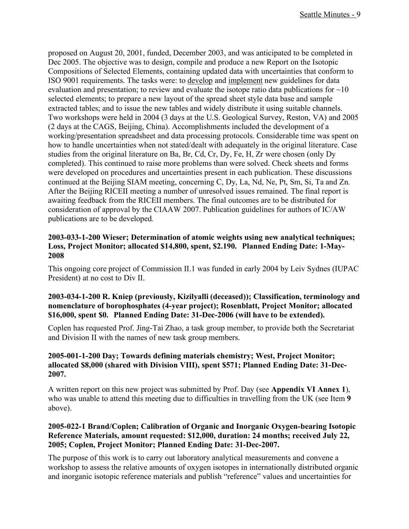proposed on August 20, 2001, funded, December 2003, and was anticipated to be completed in Dec 2005. The objective was to design, compile and produce a new Report on the Isotopic Compositions of Selected Elements, containing updated data with uncertainties that conform to ISO 9001 requirements. The tasks were: to develop and implement new guidelines for data evaluation and presentation; to review and evaluate the isotope ratio data publications for  $\sim 10$ selected elements; to prepare a new layout of the spread sheet style data base and sample extracted tables; and to issue the new tables and widely distribute it using suitable channels. Two workshops were held in 2004 (3 days at the U.S. Geological Survey, Reston, VA) and 2005 (2 days at the CAGS, Beijing, China). Accomplishments included the development of a working/presentation spreadsheet and data processing protocols. Considerable time was spent on how to handle uncertainties when not stated/dealt with adequately in the original literature. Case studies from the original literature on Ba, Br, Cd, Cr, Dy, Fe, H, Zr were chosen (only Dy completed). This continued to raise more problems than were solved. Check sheets and forms were developed on procedures and uncertainties present in each publication. These discussions continued at the Beijing SIAM meeting, concerning C, Dy, La, Nd, Ne, Pt, Sm, Si, Ta and Zn. After the Beijing RICEII meeting a number of unresolved issues remained. The final report is awaiting feedback from the RICEII members. The final outcomes are to be distributed for consideration of approval by the CIAAW 2007. Publication guidelines for authors of IC/AW publications are to be developed*.*

## **2003-033-1-200 Wieser; Determination of atomic weights using new analytical techniques; Loss, Project Monitor; allocated \$14,800, spent, \$2.190. Planned Ending Date: 1-May-2008**

This ongoing core project of Commission II.1 was funded in early 2004 by Leiv Sydnes (IUPAC President) at no cost to Div II.

## **2003-034-1-200 R. Kniep (previously, Kizilyalli (deceased)); Classification, terminology and nomenclature of borophosphates (4-year project); Rosenblatt, Project Monitor; allocated \$16,000, spent \$0. Planned Ending Date: 31-Dec-2006 (will have to be extended).**

Coplen has requested Prof. Jing-Tai Zhao, a task group member, to provide both the Secretariat and Division II with the names of new task group members.

### **2005-001-1-200 Day; Towards defining materials chemistry; West, Project Monitor; allocated \$8,000 (shared with Division VIII), spent \$571; Planned Ending Date: 31-Dec-2007.**

A written report on this new project was submitted by Prof. Day (see **Appendix VI Annex 1**), who was unable to attend this meeting due to difficulties in travelling from the UK (see Item **9** above).

## **2005-022-1 Brand/Coplen; Calibration of Organic and Inorganic Oxygen-bearing Isotopic Reference Materials, amount requested: \$12,000, duration: 24 months; received July 22, 2005; Coplen, Project Monitor; Planned Ending Date: 31-Dec-2007.**

The purpose of this work is to carry out laboratory analytical measurements and convene a workshop to assess the relative amounts of oxygen isotopes in internationally distributed organic and inorganic isotopic reference materials and publish "reference" values and uncertainties for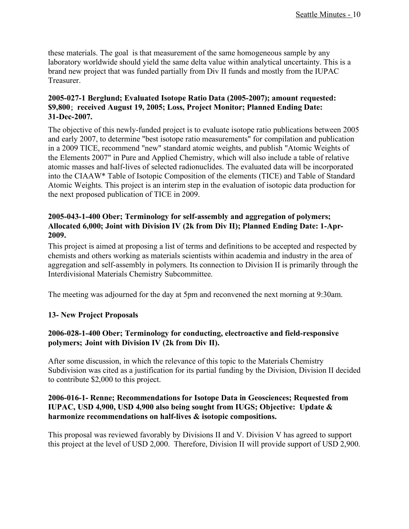these materials. The goal is that measurement of the same homogeneous sample by any laboratory worldwide should yield the same delta value within analytical uncertainty. This is a brand new project that was funded partially from Div II funds and mostly from the IUPAC Treasurer.

## **2005-027-1 Berglund; Evaluated Isotope Ratio Data (2005-2007); amount requested: \$9,800**; **received August 19, 2005; Loss, Project Monitor; Planned Ending Date: 31-Dec-2007.**

The objective of this newly-funded project is to evaluate isotope ratio publications between 2005 and early 2007, to determine "best isotope ratio measurements" for compilation and publication in a 2009 TICE, recommend "new" standard atomic weights, and publish "Atomic Weights of the Elements 2007" in Pure and Applied Chemistry, which will also include a table of relative atomic masses and half-lives of selected radionuclides. The evaluated data will be incorporated into the CIAAW\* Table of Isotopic Composition of the elements (TICE) and Table of Standard Atomic Weights. This project is an interim step in the evaluation of isotopic data production for the next proposed publication of TICE in 2009.

## **2005-043-1-400 Ober; Terminology for self-assembly and aggregation of polymers; Allocated 6,000; Joint with Division IV (2k from Div II); Planned Ending Date: 1-Apr-2009.**

This project is aimed at proposing a list of terms and definitions to be accepted and respected by chemists and others working as materials scientists within academia and industry in the area of aggregation and self-assembly in polymers. Its connection to Division II is primarily through the Interdivisional Materials Chemistry Subcommittee.

The meeting was adjourned for the day at 5pm and reconvened the next morning at 9:30am.

## **13- New Project Proposals**

## **2006-028-1-400 Ober; Terminology for conducting, electroactive and field-responsive polymers; Joint with Division IV (2k from Div II).**

After some discussion, in which the relevance of this topic to the Materials Chemistry Subdivision was cited as a justification for its partial funding by the Division, Division II decided to contribute \$2,000 to this project.

## **2006-016-1- Renne; Recommendations for Isotope Data in Geosciences; Requested from IUPAC, USD 4,900, USD 4,900 also being sought from IUGS; Objective: Update & harmonize recommendations on half-lives & isotopic compositions.**

This proposal was reviewed favorably by Divisions II and V. Division V has agreed to support this project at the level of USD 2,000. Therefore, Division II will provide support of USD 2,900.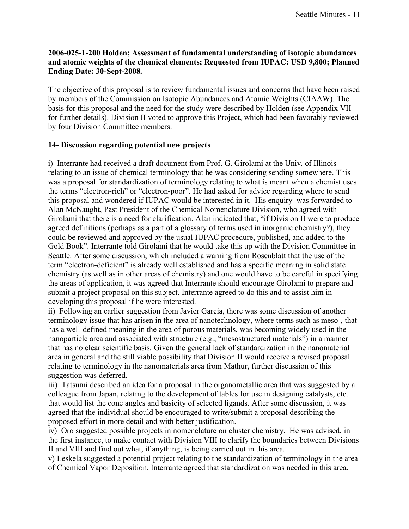## **2006-025-1-200 Holden; Assessment of fundamental understanding of isotopic abundances and atomic weights of the chemical elements; Requested from IUPAC: USD 9,800; Planned Ending Date: 30-Sept-2008.**

The objective of this proposal is to review fundamental issues and concerns that have been raised by members of the Commission on Isotopic Abundances and Atomic Weights (CIAAW). The basis for this proposal and the need for the study were described by Holden (see Appendix VII for further details). Division II voted to approve this Project, which had been favorably reviewed by four Division Committee members.

## **14- Discussion regarding potential new projects**

i) Interrante had received a draft document from Prof. G. Girolami at the Univ. of Illinois relating to an issue of chemical terminology that he was considering sending somewhere. This was a proposal for standardization of terminology relating to what is meant when a chemist uses the terms "electron-rich" or "electron-poor". He had asked for advice regarding where to send this proposal and wondered if IUPAC would be interested in it. His enquiry was forwarded to Alan McNaught, Past President of the Chemical Nomenclature Division, who agreed with Girolami that there is a need for clarification. Alan indicated that, "if Division II were to produce agreed definitions (perhaps as a part of a glossary of terms used in inorganic chemistry?), they could be reviewed and approved by the usual IUPAC procedure, published, and added to the Gold Book". Interrante told Girolami that he would take this up with the Division Committee in Seattle. After some discussion, which included a warning from Rosenblatt that the use of the term "electron-deficient" is already well established and has a specific meaning in solid state chemistry (as well as in other areas of chemistry) and one would have to be careful in specifying the areas of application, it was agreed that Interrante should encourage Girolami to prepare and submit a project proposal on this subject. Interrante agreed to do this and to assist him in developing this proposal if he were interested.

ii) Following an earlier suggestion from Javier Garcia, there was some discussion of another terminology issue that has arisen in the area of nanotechnology, where terms such as meso-, that has a well-defined meaning in the area of porous materials, was becoming widely used in the nanoparticle area and associated with structure (e.g., "mesostructured materials") in a manner that has no clear scientific basis. Given the general lack of standardization in the nanomaterial area in general and the still viable possibility that Division II would receive a revised proposal relating to terminology in the nanomaterials area from Mathur, further discussion of this suggestion was deferred.

iii) Tatsumi described an idea for a proposal in the organometallic area that was suggested by a colleague from Japan, relating to the development of tables for use in designing catalysts, etc. that would list the cone angles and basicity of selected ligands. After some discussion, it was agreed that the individual should be encouraged to write/submit a proposal describing the proposed effort in more detail and with better justification.

iv) Oro suggested possible projects in nomenclature on cluster chemistry. He was advised, in the first instance, to make contact with Division VIII to clarify the boundaries between Divisions II and VIII and find out what, if anything, is being carried out in this area.

v) Leskela suggested a potential project relating to the standardization of terminology in the area of Chemical Vapor Deposition. Interrante agreed that standardization was needed in this area.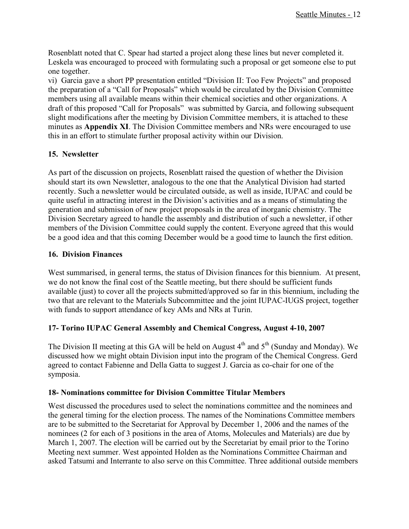Rosenblatt noted that C. Spear had started a project along these lines but never completed it. Leskela was encouraged to proceed with formulating such a proposal or get someone else to put one together.

vi) Garcia gave a short PP presentation entitled "Division II: Too Few Projects" and proposed the preparation of a "Call for Proposals" which would be circulated by the Division Committee members using all available means within their chemical societies and other organizations. A draft of this proposed "Call for Proposals" was submitted by Garcia, and following subsequent slight modifications after the meeting by Division Committee members, it is attached to these minutes as **Appendix XI**. The Division Committee members and NRs were encouraged to use this in an effort to stimulate further proposal activity within our Division.

## **15. Newsletter**

As part of the discussion on projects, Rosenblatt raised the question of whether the Division should start its own Newsletter, analogous to the one that the Analytical Division had started recently. Such a newsletter would be circulated outside, as well as inside, IUPAC and could be quite useful in attracting interest in the Division's activities and as a means of stimulating the generation and submission of new project proposals in the area of inorganic chemistry. The Division Secretary agreed to handle the assembly and distribution of such a newsletter, if other members of the Division Committee could supply the content. Everyone agreed that this would be a good idea and that this coming December would be a good time to launch the first edition.

## **16. Division Finances**

West summarised, in general terms, the status of Division finances for this biennium. At present, we do not know the final cost of the Seattle meeting, but there should be sufficient funds available (just) to cover all the projects submitted/approved so far in this biennium, including the two that are relevant to the Materials Subcommittee and the joint IUPAC-IUGS project, together with funds to support attendance of key AMs and NRs at Turin.

## **17- Torino IUPAC General Assembly and Chemical Congress, August 4-10, 2007**

The Division II meeting at this GA will be held on August  $4<sup>th</sup>$  and  $5<sup>th</sup>$  (Sunday and Monday). We discussed how we might obtain Division input into the program of the Chemical Congress. Gerd agreed to contact Fabienne and Della Gatta to suggest J. Garcia as co-chair for one of the symposia.

## **18- Nominations committee for Division Committee Titular Members**

West discussed the procedures used to select the nominations committee and the nominees and the general timing for the election process. The names of the Nominations Committee members are to be submitted to the Secretariat for Approval by December 1, 2006 and the names of the nominees (2 for each of 3 positions in the area of Atoms, Molecules and Materials) are due by March 1, 2007. The election will be carried out by the Secretariat by email prior to the Torino Meeting next summer. West appointed Holden as the Nominations Committee Chairman and asked Tatsumi and Interrante to also serve on this Committee. Three additional outside members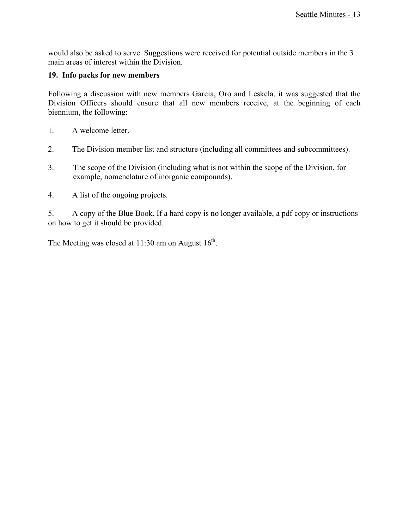would also be asked to serve. Suggestions were received for potential outside members in the 3 main areas of interest within the Division.

## **19. Info packs for new members**

Following a discussion with new members Garcia, Oro and Leskela, it was suggested that the Division Officers should ensure that all new members receive, at the beginning of each biennium, the following:

- 1. A welcome letter.
- 2. The Division member list and structure (including all committees and subcommittees).
- 3. The scope of the Division (including what is not within the scope of the Division, for example, nomenclature of inorganic compounds).
- 4. A list of the ongoing projects.

5. A copy of the Blue Book. If a hard copy is no longer available, a pdf copy or instructions on how to get it should be provided.

The Meeting was closed at  $11:30$  am on August  $16<sup>th</sup>$ .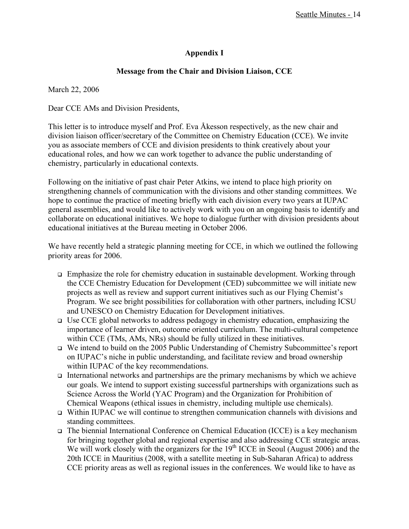## **Appendix I**

## **Message from the Chair and Division Liaison, CCE**

March 22, 2006

Dear CCE AMs and Division Presidents,

This letter is to introduce myself and Prof. Eva Åkesson respectively, as the new chair and division liaison officer/secretary of the Committee on Chemistry Education (CCE). We invite you as associate members of CCE and division presidents to think creatively about your educational roles, and how we can work together to advance the public understanding of chemistry, particularly in educational contexts.

Following on the initiative of past chair Peter Atkins, we intend to place high priority on strengthening channels of communication with the divisions and other standing committees. We hope to continue the practice of meeting briefly with each division every two years at IUPAC general assemblies, and would like to actively work with you on an ongoing basis to identify and collaborate on educational initiatives. We hope to dialogue further with division presidents about educational initiatives at the Bureau meeting in October 2006.

We have recently held a strategic planning meeting for CCE, in which we outlined the following priority areas for 2006.

- Emphasize the role for chemistry education in sustainable development. Working through the CCE Chemistry Education for Development (CED) subcommittee we will initiate new projects as well as review and support current initiatives such as our Flying Chemist's Program. We see bright possibilities for collaboration with other partners, including ICSU and UNESCO on Chemistry Education for Development initiatives.
- $\Box$  Use CCE global networks to address pedagogy in chemistry education, emphasizing the importance of learner driven, outcome oriented curriculum. The multi-cultural competence within CCE (TMs, AMs, NRs) should be fully utilized in these initiatives.
- We intend to build on the 2005 Public Understanding of Chemistry Subcommittee's report on IUPAC's niche in public understanding, and facilitate review and broad ownership within IUPAC of the key recommendations.
- International networks and partnerships are the primary mechanisms by which we achieve our goals. We intend to support existing successful partnerships with organizations such as Science Across the World (YAC Program) and the Organization for Prohibition of Chemical Weapons (ethical issues in chemistry, including multiple use chemicals).
- Within IUPAC we will continue to strengthen communication channels with divisions and standing committees.
- The biennial International Conference on Chemical Education (ICCE) is a key mechanism for bringing together global and regional expertise and also addressing CCE strategic areas. We will work closely with the organizers for the  $19<sup>th</sup>$  ICCE in Seoul (August 2006) and the 20th ICCE in Mauritius (2008, with a satellite meeting in Sub-Saharan Africa) to address CCE priority areas as well as regional issues in the conferences. We would like to have as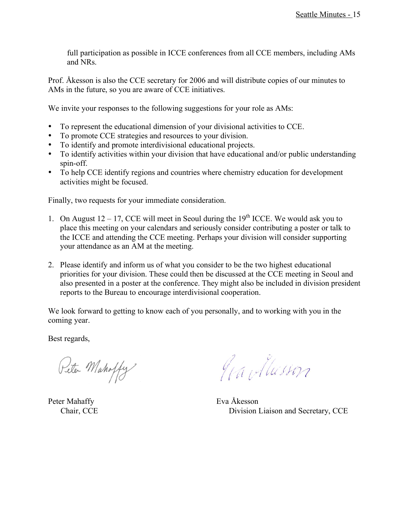full participation as possible in ICCE conferences from all CCE members, including AMs and NRs.

Prof. Åkesson is also the CCE secretary for 2006 and will distribute copies of our minutes to AMs in the future, so you are aware of CCE initiatives.

We invite your responses to the following suggestions for your role as AMs:

- To represent the educational dimension of your divisional activities to CCE.
- To promote CCE strategies and resources to your division.
- To identify and promote interdivisional educational projects.
- To identify activities within your division that have educational and/or public understanding spin-off.
- To help CCE identify regions and countries where chemistry education for development activities might be focused.

Finally, two requests for your immediate consideration.

- 1. On August  $12 17$ , CCE will meet in Seoul during the  $19<sup>th</sup>$  ICCE. We would ask you to place this meeting on your calendars and seriously consider contributing a poster or talk to the ICCE and attending the CCE meeting. Perhaps your division will consider supporting your attendance as an AM at the meeting.
- 2. Please identify and inform us of what you consider to be the two highest educational priorities for your division. These could then be discussed at the CCE meeting in Seoul and also presented in a poster at the conference. They might also be included in division president reports to the Bureau to encourage interdivisional cooperation.

We look forward to getting to know each of you personally, and to working with you in the coming year.

Best regards,

Peter Mahoffy

Peter Mahaffy Eva Åkesson

Grandlusson

Chair, CCE Division Liaison and Secretary, CCE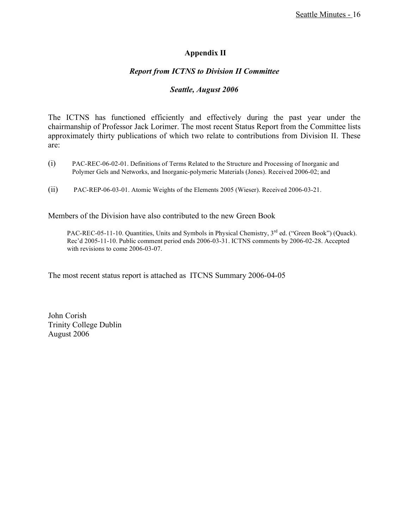## **Appendix II**

## *Report from ICTNS to Division II Committee*

### *Seattle, August 2006*

The ICTNS has functioned efficiently and effectively during the past year under the chairmanship of Professor Jack Lorimer. The most recent Status Report from the Committee lists approximately thirty publications of which two relate to contributions from Division II. These are:

- (i) PAC-REC-06-02-01. Definitions of Terms Related to the Structure and Processing of Inorganic and Polymer Gels and Networks, and Inorganic-polymeric Materials (Jones). Received 2006-02; and
- (ii) PAC-REP-06-03-01. Atomic Weights of the Elements 2005 (Wieser). Received 2006-03-21.

Members of the Division have also contributed to the new Green Book

PAC-REC-05-11-10. Quantities, Units and Symbols in Physical Chemistry, 3<sup>rd</sup> ed. ("Green Book") (Quack). Rec'd 2005-11-10. Public comment period ends 2006-03-31. ICTNS comments by 2006-02-28. Accepted with revisions to come 2006-03-07.

The most recent status report is attached as ITCNS Summary 2006-04-05

John Corish Trinity College Dublin August 2006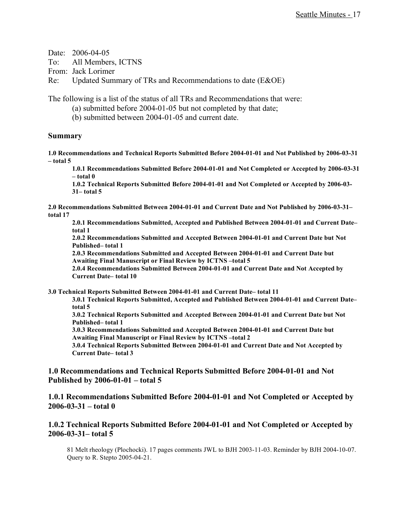Date: 2006-04-05

To: All Members, ICTNS

From: Jack Lorimer

Re: Updated Summary of TRs and Recommendations to date (E&OE)

The following is a list of the status of all TRs and Recommendations that were:

(a) submitted before 2004-01-05 but not completed by that date;

(b) submitted between 2004-01-05 and current date.

### **Summary**

**1.0 Recommendations and Technical Reports Submitted Before 2004-01-01 and Not Published by 2006-03-31 – total 5**

**1.0.1 Recommendations Submitted Before 2004-01-01 and Not Completed or Accepted by 2006-03-31 – total 0**

**1.0.2 Technical Reports Submitted Before 2004-01-01 and Not Completed or Accepted by 2006-03- 31– total 5**

**2.0 Recommendations Submitted Between 2004-01-01 and Current Date and Not Published by 2006-03-31– total 17**

**2.0.1 Recommendations Submitted, Accepted and Published Between 2004-01-01 and Current Date– total 1**

**2.0.2 Recommendations Submitted and Accepted Between 2004-01-01 and Current Date but Not Published– total 1**

**2.0.3 Recommendations Submitted and Accepted Between 2004-01-01 and Current Date but Awaiting Final Manuscript or Final Review by ICTNS –total 5**

**2.0.4 Recommendations Submitted Between 2004-01-01 and Current Date and Not Accepted by Current Date– total 10**

**3.0 Technical Reports Submitted Between 2004-01-01 and Current Date– total 11**

**3.0.1 Technical Reports Submitted, Accepted and Published Between 2004-01-01 and Current Date– total 5**

**3.0.2 Technical Reports Submitted and Accepted Between 2004-01-01 and Current Date but Not Published– total 1**

**3.0.3 Recommendations Submitted and Accepted Between 2004-01-01 and Current Date but Awaiting Final Manuscript or Final Review by ICTNS –total 2**

**3.0.4 Technical Reports Submitted Between 2004-01-01 and Current Date and Not Accepted by Current Date– total 3**

**1.0 Recommendations and Technical Reports Submitted Before 2004-01-01 and Not Published by 2006-01-01 – total 5**

**1.0.1 Recommendations Submitted Before 2004-01-01 and Not Completed or Accepted by 2006-03-31 – total 0**

### **1.0.2 Technical Reports Submitted Before 2004-01-01 and Not Completed or Accepted by 2006-03-31– total 5**

81 Melt rheology (Plochocki). 17 pages comments JWL to BJH 2003-11-03. Reminder by BJH 2004-10-07. Query to R. Stepto 2005-04-21.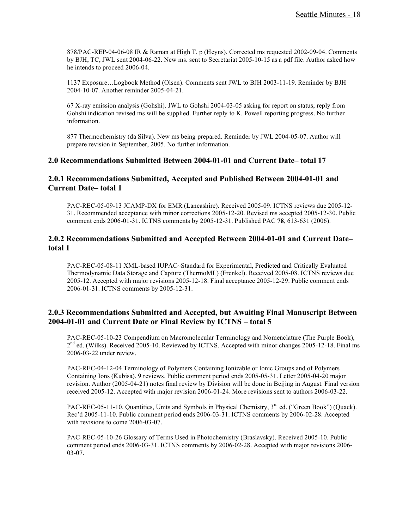878/PAC-REP-04-06-08 IR & Raman at High T, p (Heyns). Corrected ms requested 2002-09-04. Comments by BJH, TC, JWL sent 2004-06-22. New ms. sent to Secretariat 2005-10-15 as a pdf file. Author asked how he intends to proceed 2006-04.

1137 Exposure…Logbook Method (Olsen). Comments sent JWL to BJH 2003-11-19. Reminder by BJH 2004-10-07. Another reminder 2005-04-21.

67 X-ray emission analysis (Gohshi). JWL to Gohshi 2004-03-05 asking for report on status; reply from Gohshi indication revised ms will be supplied. Further reply to K. Powell reporting progress. No further information.

877 Thermochemistry (da Silva). New ms being prepared. Reminder by JWL 2004-05-07. Author will prepare revision in September, 2005. No further information.

#### **2.0 Recommendations Submitted Between 2004-01-01 and Current Date– total 17**

#### **2.0.1 Recommendations Submitted, Accepted and Published Between 2004-01-01 and Current Date– total 1**

PAC-REC-05-09-13 JCAMP-DX for EMR (Lancashire). Received 2005-09. ICTNS reviews due 2005-12- 31. Recommended acceptance with minor corrections 2005-12-20. Revised ms accepted 2005-12-30. Public comment ends 2006-01-31. ICTNS comments by 2005-12-31. Published PAC **78**, 613-631 (2006).

### **2.0.2 Recommendations Submitted and Accepted Between 2004-01-01 and Current Date– total 1**

PAC-REC-05-08-11 XML-based IUPAC~Standard for Experimental, Predicted and Critically Evaluated Thermodynamic Data Storage and Capture (ThermoML) (Frenkel). Received 2005-08. ICTNS reviews due 2005-12. Accepted with major revisions 2005-12-18. Final acceptance 2005-12-29. Public comment ends 2006-01-31. ICTNS comments by 2005-12-31.

### **2.0.3 Recommendations Submitted and Accepted, but Awaiting Final Manuscript Between 2004-01-01 and Current Date or Final Review by ICTNS – total 5**

PAC-REC-05-10-23 Compendium on Macromolecular Terminology and Nomenclature (The Purple Book), 2<sup>nd</sup> ed. (Wilks). Received 2005-10. Reviewed by ICTNS. Accepted with minor changes 2005-12-18. Final ms 2006-03-22 under review.

PAC-REC-04-12-04 Terminology of Polymers Containing Ionizable or Ionic Groups and of Polymers Containing Ions (Kubisa). 9 reviews. Public comment period ends 2005-05-31. Letter 2005-04-20 major revision. Author (2005-04-21) notes final review by Division will be done in Beijing in August. Final version received 2005-12. Accepted with major revision 2006-01-24. More revisions sent to authors 2006-03-22.

PAC-REC-05-11-10. Quantities, Units and Symbols in Physical Chemistry, 3<sup>rd</sup> ed. ("Green Book") (Quack). Rec'd 2005-11-10. Public comment period ends 2006-03-31. ICTNS comments by 2006-02-28. Accepted with revisions to come 2006-03-07.

PAC-REC-05-10-26 Glossary of Terms Used in Photochemistry (Braslavsky). Received 2005-10. Public comment period ends 2006-03-31. ICTNS comments by 2006-02-28. Accepted with major revisions 2006- 03-07.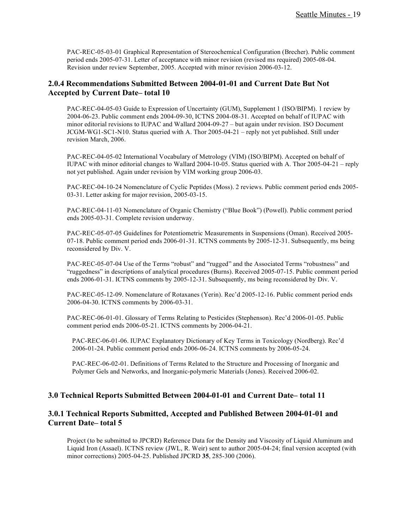PAC-REC-05-03-01 Graphical Representation of Stereochemical Configuration (Brecher). Public comment period ends 2005-07-31. Letter of acceptance with minor revision (revised ms required) 2005-08-04. Revision under review September, 2005. Accepted with minor revision 2006-03-12.

### **2.0.4 Recommendations Submitted Between 2004-01-01 and Current Date But Not Accepted by Current Date– total 10**

PAC-REC-04-05-03 Guide to Expression of Uncertainty (GUM), Supplement 1 (ISO/BIPM). 1 review by 2004-06-23. Public comment ends 2004-09-30, ICTNS 2004-08-31. Accepted on behalf of IUPAC with minor editorial revisions to IUPAC and Wallard 2004-09-27 – but again under revision. ISO Document JCGM-WG1-SC1-N10. Status queried with A. Thor 2005-04-21 – reply not yet published. Still under revision March, 2006.

PAC-REC-04-05-02 International Vocabulary of Metrology (VIM) (ISO/BIPM). Accepted on behalf of IUPAC with minor editorial changes to Wallard 2004-10-05. Status queried with A. Thor 2005-04-21 – reply not yet published. Again under revision by VIM working group 2006-03.

PAC-REC-04-10-24 Nomenclature of Cyclic Peptides (Moss). 2 reviews. Public comment period ends 2005- 03-31. Letter asking for major revision, 2005-03-15.

PAC-REC-04-11-03 Nomenclature of Organic Chemistry ("Blue Book") (Powell). Public comment period ends 2005-03-31. Complete revision underway.

PAC-REC-05-07-05 Guidelines for Potentiometric Measurements in Suspensions (Oman). Received 2005- 07-18. Public comment period ends 2006-01-31. ICTNS comments by 2005-12-31. Subsequently, ms being reconsidered by Div. V.

PAC-REC-05-07-04 Use of the Terms "robust" and "rugged" and the Associated Terms "robustness" and "ruggedness" in descriptions of analytical procedures (Burns). Received 2005-07-15. Public comment period ends 2006-01-31. ICTNS comments by 2005-12-31. Subsequently, ms being reconsidered by Div. V.

PAC-REC-05-12-09. Nomenclature of Rotaxanes (Yerin). Rec'd 2005-12-16. Public comment period ends 2006-04-30. ICTNS comments by 2006-03-31.

PAC-REC-06-01-01. Glossary of Terms Relating to Pesticides (Stephenson). Rec'd 2006-01-05. Public comment period ends 2006-05-21. ICTNS comments by 2006-04-21.

PAC-REC-06-01-06. IUPAC Explanatory Dictionary of Key Terms in Toxicology (Nordberg). Rec'd 2006-01-24. Public comment period ends 2006-06-24. ICTNS comments by 2006-05-24.

PAC-REC-06-02-01. Definitions of Terms Related to the Structure and Processing of Inorganic and Polymer Gels and Networks, and Inorganic-polymeric Materials (Jones). Received 2006-02.

#### **3.0 Technical Reports Submitted Between 2004-01-01 and Current Date– total 11**

### **3.0.1 Technical Reports Submitted, Accepted and Published Between 2004-01-01 and Current Date– total 5**

Project (to be submitted to JPCRD) Reference Data for the Density and Viscosity of Liquid Aluminum and Liquid Iron (Assael). ICTNS review (JWL, R. Weir) sent to author 2005-04-24; final version accepted (with minor corrections) 2005-04-25. Published JPCRD **35**, 285-300 (2006).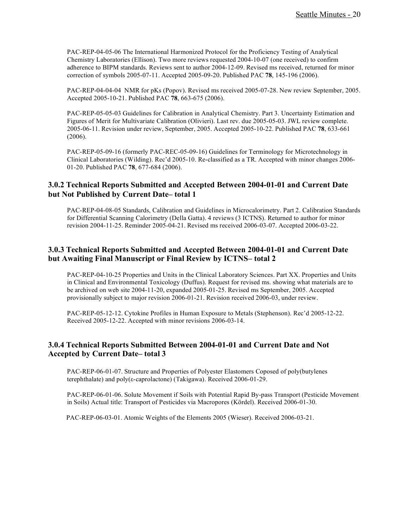PAC-REP-04-05-06 The International Harmonized Protocol for the Proficiency Testing of Analytical Chemistry Laboratories (Ellison). Two more reviews requested 2004-10-07 (one received) to confirm adherence to BIPM standards. Reviews sent to author 2004-12-09. Revised ms received, returned for minor correction of symbols 2005-07-11. Accepted 2005-09-20. Published PAC **78**, 145-196 (2006).

PAC-REP-04-04-04 NMR for pKs (Popov). Revised ms received 2005-07-28. New review September, 2005. Accepted 2005-10-21. Published PAC **78**, 663-675 (2006).

PAC-REP-05-05-03 Guidelines for Calibration in Analytical Chemistry. Part 3. Uncertainty Estimation and Figures of Merit for Multivariate Calibration (Olivieri). Last rev. due 2005-05-03. JWL review complete. 2005-06-11. Revision under review, September, 2005. Accepted 2005-10-22. Published PAC **78**, 633-661 (2006).

PAC-REP-05-09-16 (formerly PAC-REC-05-09-16) Guidelines for Terminology for Microtechnology in Clinical Laboratories (Wilding). Rec'd 2005-10. Re-classified as a TR. Accepted with minor changes 2006- 01-20. Published PAC **78**, 677-684 (2006).

### **3.0.2 Technical Reports Submitted and Accepted Between 2004-01-01 and Current Date but Not Published by Current Date– total 1**

PAC-REP-04-08-05 Standards, Calibration and Guidelines in Microcalorimetry. Part 2. Calibration Standards for Differential Scanning Calorimetry (Della Gatta). 4 reviews (3 ICTNS). Returned to author for minor revision 2004-11-25. Reminder 2005-04-21. Revised ms received 2006-03-07. Accepted 2006-03-22.

### **3.0.3 Technical Reports Submitted and Accepted Between 2004-01-01 and Current Date but Awaiting Final Manuscript or Final Review by ICTNS– total 2**

PAC-REP-04-10-25 Properties and Units in the Clinical Laboratory Sciences. Part XX. Properties and Units in Clinical and Environmental Toxicology (Duffus). Request for revised ms. showing what materials are to be archived on web site 2004-11-20, expanded 2005-01-25. Revised ms September, 2005. Accepted provisionally subject to major revision 2006-01-21. Revision received 2006-03, under review.

PAC-REP-05-12-12. Cytokine Profiles in Human Exposure to Metals (Stephenson). Rec'd 2005-12-22. Received 2005-12-22. Accepted with minor revisions 2006-03-14.

### **3.0.4 Technical Reports Submitted Between 2004-01-01 and Current Date and Not Accepted by Current Date– total 3**

PAC-REP-06-01-07. Structure and Properties of Polyester Elastomers Coposed of poly(butylenes terephthalate) and poly(ε-caprolactone) (Takigawa). Received 2006-01-29.

PAC-REP-06-01-06. Solute Movement if Soils with Potential Rapid By-pass Transport (Pesticide Movement in Soils) Actual title: Transport of Pesticides via Macropores (Kördel). Received 2006-01-30.

PAC-REP-06-03-01. Atomic Weights of the Elements 2005 (Wieser). Received 2006-03-21.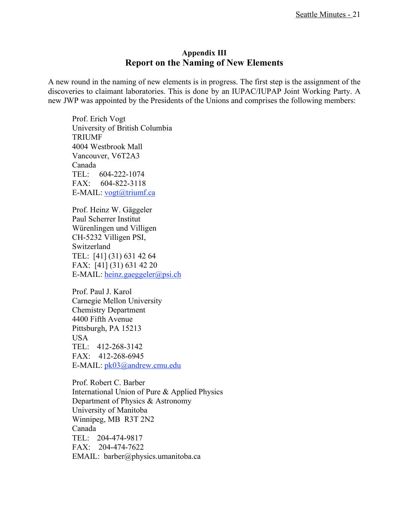## **Appendix III Report on the Naming of New Elements**

A new round in the naming of new elements is in progress. The first step is the assignment of the discoveries to claimant laboratories. This is done by an IUPAC/IUPAP Joint Working Party. A new JWP was appointed by the Presidents of the Unions and comprises the following members:

Prof. Erich Vogt University of British Columbia TRIUMF 4004 Westbrook Mall Vancouver, V6T2A3 Canada TEL: 604-222-1074 FAX: 604-822-3118 E-MAIL: <u>vogt@triumf.ca</u>

Prof. Heinz W. Gäggeler Paul Scherrer Institut Würenlingen und Villigen CH-5232 Villigen PSI, Switzerland TEL: [41] (31) 631 42 64 FAX: [41] (31) 631 42 20 E-MAIL: heinz.gaeggeler@psi.ch

Prof. Paul J. Karol Carnegie Mellon University Chemistry Department 4400 Fifth Avenue Pittsburgh, PA 15213 USA TEL: 412-268-3142 FAX: 412-268-6945 E-MAIL: pk03@andrew.cmu.edu

Prof. Robert C. Barber International Union of Pure & Applied Physics Department of Physics & Astronomy University of Manitoba Winnipeg, MB R3T 2N2 Canada TEL: 204-474-9817 FAX: 204-474-7622 EMAIL: barber@physics.umanitoba.ca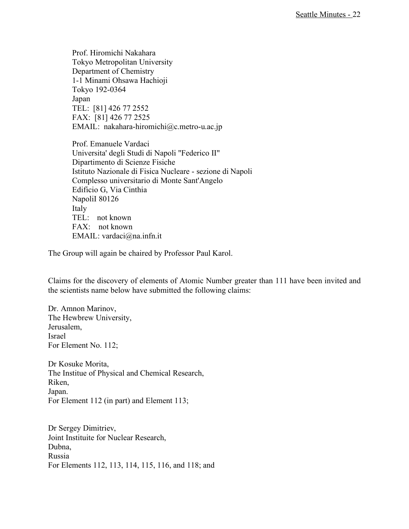Prof. Hiromichi Nakahara Tokyo Metropolitan University Department of Chemistry 1-1 Minami Ohsawa Hachioji Tokyo 192-0364 Japan TEL: [81] 426 77 2552 FAX: [81] 426 77 2525 EMAIL: nakahara-hiromichi@c.metro-u.ac.jp

Prof. Emanuele Vardaci Universita' degli Studi di Napoli "Federico II" Dipartimento di Scienze Fisiche Istituto Nazionale di Fisica Nucleare - sezione di Napoli Complesso universitario di Monte Sant'Angelo Edificio G, Via Cinthia NapoliI 80126 Italy TEL: not known FAX: not known EMAIL: vardaci@na.infn.it

The Group will again be chaired by Professor Paul Karol.

Claims for the discovery of elements of Atomic Number greater than 111 have been invited and the scientists name below have submitted the following claims:

Dr. Amnon Marinov, The Hewbrew University, Jerusalem, Israel For Element No. 112;

Dr Kosuke Morita, The Institue of Physical and Chemical Research, Riken, Japan. For Element 112 (in part) and Element 113;

Dr Sergey Dimitriev, Joint Instituite for Nuclear Research, Dubna, Russia For Elements 112, 113, 114, 115, 116, and 118; and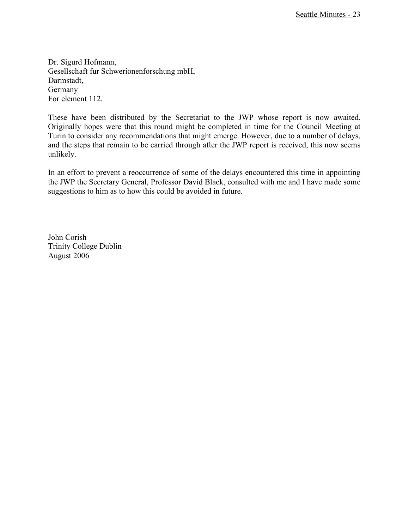Dr. Sigurd Hofmann, Gesellschaft fur Schwerionenforschung mbH, Darmstadt, Germany For element 112.

These have been distributed by the Secretariat to the JWP whose report is now awaited. Originally hopes were that this round might be completed in time for the Council Meeting at Turin to consider any recommendations that might emerge. However, due to a number of delays, and the steps that remain to be carried through after the JWP report is received, this now seems unlikely.

In an effort to prevent a reoccurrence of some of the delays encountered this time in appointing the JWP the Secretary General, Professor David Black, consulted with me and I have made some suggestions to him as to how this could be avoided in future.

John Corish Trinity College Dublin August 2006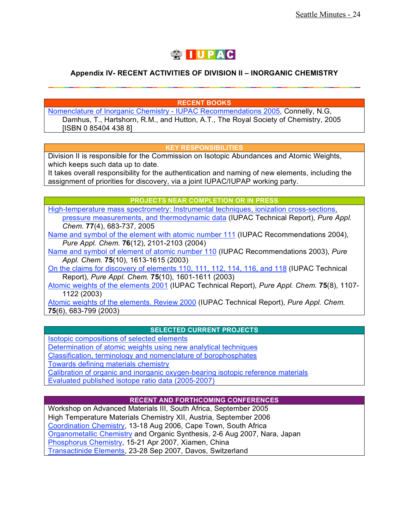

## **Appendix IV- RECENT ACTIVITIES OF DIVISION II – INORGANIC CHEMISTRY \_\_\_\_\_\_\_\_\_\_\_\_\_\_\_\_\_\_\_\_\_\_\_\_\_\_\_\_\_\_\_\_\_\_\_\_\_\_\_\_\_\_\_\_\_\_\_\_\_\_\_\_\_\_\_\_\_\_\_\_**

**RECENT BOOKS**

Nomenclature of Inorganic Chemistry - IUPAC Recommendations 2005, Connelly, N.G, Damhus, T., Hartshorn, R.M., and Hutton, A.T., The Royal Society of Chemistry, 2005 [ISBN 0 85404 438 8]

#### **KEY RESPONSIBILITIES**

Division II is responsible for the Commission on Isotopic Abundances and Atomic Weights, which keeps such data up to date.

It takes overall responsibility for the authentication and naming of new elements, including the assignment of priorities for discovery, via a joint IUPAC/IUPAP working party.

#### **PROJECTS NEAR COMPLETION OR IN PRESS**

High-temperature mass spectrometry: Instrumental techniques, ionization cross-sections, pressure measurements, and thermodynamic data (IUPAC Technical Report), *Pure Appl. Chem*. **77**(4), 683-737, 2005

Name and symbol of the element with atomic number 111 (IUPAC Recommendations 2004), *Pure Appl. Chem.* **76**(12), 2101-2103 (2004)

Name and symbol of element of atomic number 110 (IUPAC Recommendations 2003), *Pure Appl. Chem.* **75**(10), 1613-1615 (2003)

On the claims for discovery of elements 110, 111, 112, 114, 116, and 118 (IUPAC Technical Report), *Pure Appl. Chem.* **75**(10), 1601-1611 (2003)

Atomic weights of the elements 2001 (IUPAC Technical Report), *Pure Appl. Chem.* **75**(8), 1107- 1122 (2003)

Atomic weights of the elements. Review 2000 (IUPAC Technical Report), *Pure Appl. Chem.* **75**(6), 683-799 (2003)

#### **SELECTED CURRENT PROJECTS**

Isotopic compositions of selected elements Determination of atomic weights using new analytical techniques Classification, terminology and nomenclature of borophosphates Towards defining materials chemistry Calibration of organic and inorganic oxygen-bearing isotopic reference materials Evaluated published isotope ratio data (2005-2007)

#### **RECENT AND FORTHCOMING CONFERENCES**

Workshop on Advanced Materials III, South Africa, September 2005 High Temperature Materials Chemistry XII, Austria, September 2006 Coordination Chemistry, 13-18 Aug 2006, Cape Town, South Africa Organometallic Chemistry and Organic Synthesis, 2-6 Aug 2007, Nara, Japan Phosphorus Chemistry, 15-21 Apr 2007, Xiamen, China Transactinide Elements, 23-28 Sep 2007, Davos, Switzerland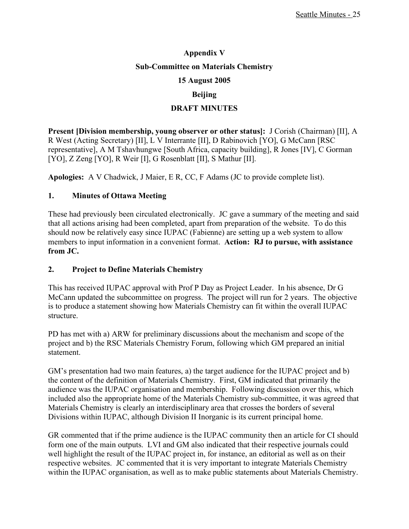# **Appendix V Sub-Committee on Materials Chemistry 15 August 2005 Beijing**

## **DRAFT MINUTES**

**Present [Division membership, young observer or other status]:** J Corish (Chairman) [II], A R West (Acting Secretary) [II], L V Interrante [II], D Rabinovich [YO], G McCann [RSC representative], A M Tshavhungwe [South Africa, capacity building], R Jones [IV], C Gorman [YO], Z Zeng [YO], R Weir [I], G Rosenblatt [II], S Mathur [II].

**Apologies:** A V Chadwick, J Maier, E R, CC, F Adams (JC to provide complete list).

## **1. Minutes of Ottawa Meeting**

These had previously been circulated electronically. JC gave a summary of the meeting and said that all actions arising had been completed, apart from preparation of the website. To do this should now be relatively easy since IUPAC (Fabienne) are setting up a web system to allow members to input information in a convenient format. **Action: RJ to pursue, with assistance from JC.**

## **2. Project to Define Materials Chemistry**

This has received IUPAC approval with Prof P Day as Project Leader. In his absence, Dr G McCann updated the subcommittee on progress. The project will run for 2 years. The objective is to produce a statement showing how Materials Chemistry can fit within the overall IUPAC structure.

PD has met with a) ARW for preliminary discussions about the mechanism and scope of the project and b) the RSC Materials Chemistry Forum, following which GM prepared an initial statement.

GM's presentation had two main features, a) the target audience for the IUPAC project and b) the content of the definition of Materials Chemistry. First, GM indicated that primarily the audience was the IUPAC organisation and membership. Following discussion over this, which included also the appropriate home of the Materials Chemistry sub-committee, it was agreed that Materials Chemistry is clearly an interdisciplinary area that crosses the borders of several Divisions within IUPAC, although Division II Inorganic is its current principal home.

GR commented that if the prime audience is the IUPAC community then an article for CI should form one of the main outputs. LVI and GM also indicated that their respective journals could well highlight the result of the IUPAC project in, for instance, an editorial as well as on their respective websites. JC commented that it is very important to integrate Materials Chemistry within the IUPAC organisation, as well as to make public statements about Materials Chemistry.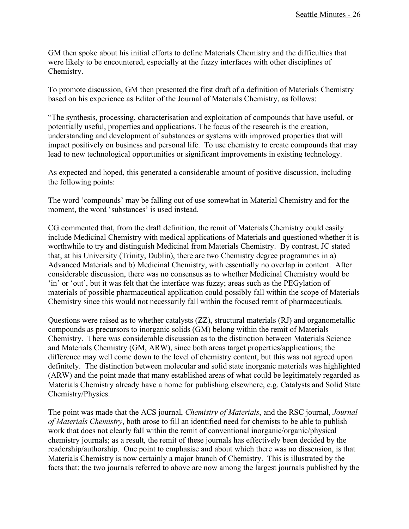GM then spoke about his initial efforts to define Materials Chemistry and the difficulties that were likely to be encountered, especially at the fuzzy interfaces with other disciplines of Chemistry.

To promote discussion, GM then presented the first draft of a definition of Materials Chemistry based on his experience as Editor of the Journal of Materials Chemistry, as follows:

"The synthesis, processing, characterisation and exploitation of compounds that have useful, or potentially useful, properties and applications. The focus of the research is the creation, understanding and development of substances or systems with improved properties that will impact positively on business and personal life. To use chemistry to create compounds that may lead to new technological opportunities or significant improvements in existing technology.

As expected and hoped, this generated a considerable amount of positive discussion, including the following points:

The word 'compounds' may be falling out of use somewhat in Material Chemistry and for the moment, the word 'substances' is used instead.

CG commented that, from the draft definition, the remit of Materials Chemistry could easily include Medicinal Chemistry with medical applications of Materials and questioned whether it is worthwhile to try and distinguish Medicinal from Materials Chemistry. By contrast, JC stated that, at his University (Trinity, Dublin), there are two Chemistry degree programmes in a) Advanced Materials and b) Medicinal Chemistry, with essentially no overlap in content. After considerable discussion, there was no consensus as to whether Medicinal Chemistry would be 'in' or 'out', but it was felt that the interface was fuzzy; areas such as the PEGylation of materials of possible pharmaceutical application could possibly fall within the scope of Materials Chemistry since this would not necessarily fall within the focused remit of pharmaceuticals.

Questions were raised as to whether catalysts (ZZ), structural materials (RJ) and organometallic compounds as precursors to inorganic solids (GM) belong within the remit of Materials Chemistry. There was considerable discussion as to the distinction between Materials Science and Materials Chemistry (GM, ARW), since both areas target properties/applications; the difference may well come down to the level of chemistry content, but this was not agreed upon definitely. The distinction between molecular and solid state inorganic materials was highlighted (ARW) and the point made that many established areas of what could be legitimately regarded as Materials Chemistry already have a home for publishing elsewhere, e.g. Catalysts and Solid State Chemistry/Physics.

The point was made that the ACS journal, *Chemistry of Materials*, and the RSC journal, *Journal of Materials Chemistry*, both arose to fill an identified need for chemists to be able to publish work that does not clearly fall within the remit of conventional inorganic/organic/physical chemistry journals; as a result, the remit of these journals has effectively been decided by the readership/authorship. One point to emphasise and about which there was no dissension, is that Materials Chemistry is now certainly a major branch of Chemistry. This is illustrated by the facts that: the two journals referred to above are now among the largest journals published by the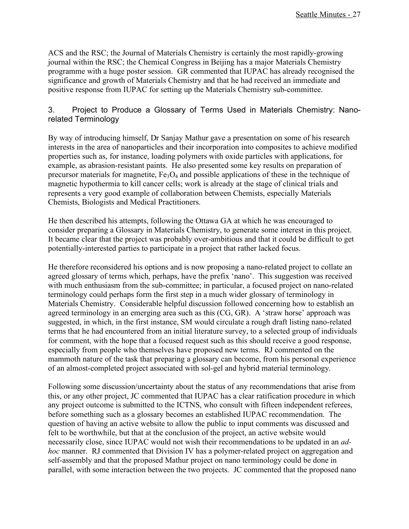ACS and the RSC; the Journal of Materials Chemistry is certainly the most rapidly-growing journal within the RSC; the Chemical Congress in Beijing has a major Materials Chemistry programme with a huge poster session. GR commented that IUPAC has already recognised the significance and growth of Materials Chemistry and that he had received an immediate and positive response from IUPAC for setting up the Materials Chemistry sub-committee.

## 3. Project to Produce a Glossary of Terms Used in Materials Chemistry: Nanorelated Terminology

By way of introducing himself, Dr Sanjay Mathur gave a presentation on some of his research interests in the area of nanoparticles and their incorporation into composites to achieve modified properties such as, for instance, loading polymers with oxide particles with applications, for example, as abrasion-resistant paints. He also presented some key results on preparation of precursor materials for magnetite,  $Fe<sub>3</sub>O<sub>4</sub>$  and possible applications of these in the technique of magnetic hypothermia to kill cancer cells; work is already at the stage of clinical trials and represents a very good example of collaboration between Chemists, especially Materials Chemists, Biologists and Medical Practitioners.

He then described his attempts, following the Ottawa GA at which he was encouraged to consider preparing a Glossary in Materials Chemistry, to generate some interest in this project. It became clear that the project was probably over-ambitious and that it could be difficult to get potentially-interested parties to participate in a project that rather lacked focus.

He therefore reconsidered his options and is now proposing a nano-related project to collate an agreed glossary of terms which, perhaps, have the prefix 'nano'. This suggestion was received with much enthusiasm from the sub-committee; in particular, a focused project on nano-related terminology could perhaps form the first step in a much wider glossary of terminology in Materials Chemistry. Considerable helpful discussion followed concerning how to establish an agreed terminology in an emerging area such as this (CG, GR). A 'straw horse' approach was suggested, in which, in the first instance, SM would circulate a rough draft listing nano-related terms that he had encountered from an initial literature survey, to a selected group of individuals for comment, with the hope that a focused request such as this should receive a good response, especially from people who themselves have proposed new terms. RJ commented on the mammoth nature of the task that preparing a glossary can become, from his personal experience of an almost-completed project associated with sol-gel and hybrid material terminology.

Following some discussion/uncertainty about the status of any recommendations that arise from this, or any other project, JC commented that IUPAC has a clear ratification procedure in which any project outcome is submitted to the ICTNS, who consult with fifteen independent referees, before something such as a glossary becomes an established IUPAC recommendation. The question of having an active website to allow the public to input comments was discussed and felt to be worthwhile, but that at the conclusion of the project, an active website would necessarily close, since IUPAC would not wish their recommendations to be updated in an *adhoc* manner. RJ commented that Division IV has a polymer-related project on aggregation and self-assembly and that the proposed Mathur project on nano terminology could be done in parallel, with some interaction between the two projects. JC commented that the proposed nano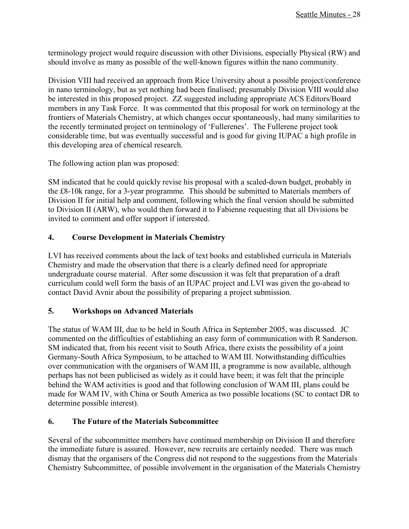terminology project would require discussion with other Divisions, especially Physical (RW) and should involve as many as possible of the well-known figures within the nano community.

Division VIII had received an approach from Rice University about a possible project/conference in nano terminology, but as yet nothing had been finalised; presumably Division VIII would also be interested in this proposed project. ZZ suggested including appropriate ACS Editors/Board members in any Task Force. It was commented that this proposal for work on terminology at the frontiers of Materials Chemistry, at which changes occur spontaneously, had many similarities to the recently terminated project on terminology of 'Fullerenes'. The Fullerene project took considerable time, but was eventually successful and is good for giving IUPAC a high profile in this developing area of chemical research.

The following action plan was proposed:

SM indicated that he could quickly revise his proposal with a scaled-down budget, probably in the £8-10k range, for a 3-year programme. This should be submitted to Materials members of Division II for initial help and comment, following which the final version should be submitted to Division II (ARW), who would then forward it to Fabienne requesting that all Divisions be invited to comment and offer support if interested.

## **4. Course Development in Materials Chemistry**

LVI has received comments about the lack of text books and established curricula in Materials Chemistry and made the observation that there is a clearly defined need for appropriate undergraduate course material. After some discussion it was felt that preparation of a draft curriculum could well form the basis of an IUPAC project and LVI was given the go-ahead to contact David Avnir about the possibility of preparing a project submission.

## **5. Workshops on Advanced Materials**

The status of WAM III, due to be held in South Africa in September 2005, was discussed. JC commented on the difficulties of establishing an easy form of communication with R Sanderson. SM indicated that, from his recent visit to South Africa, there exists the possibility of a joint Germany-South Africa Symposium, to be attached to WAM III. Notwithstanding difficulties over communication with the organisers of WAM III, a programme is now available, although perhaps has not been publicised as widely as it could have been; it was felt that the principle behind the WAM activities is good and that following conclusion of WAM III, plans could be made for WAM IV, with China or South America as two possible locations (SC to contact DR to determine possible interest).

## **6. The Future of the Materials Subcommittee**

Several of the subcommittee members have continued membership on Division II and therefore the immediate future is assured. However, new recruits are certainly needed. There was much dismay that the organisers of the Congress did not respond to the suggestions from the Materials Chemistry Subcommittee, of possible involvement in the organisation of the Materials Chemistry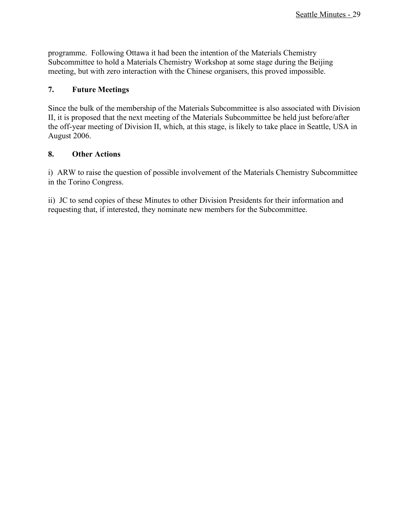programme. Following Ottawa it had been the intention of the Materials Chemistry Subcommittee to hold a Materials Chemistry Workshop at some stage during the Beijing meeting, but with zero interaction with the Chinese organisers, this proved impossible.

## **7. Future Meetings**

Since the bulk of the membership of the Materials Subcommittee is also associated with Division II, it is proposed that the next meeting of the Materials Subcommittee be held just before/after the off-year meeting of Division II, which, at this stage, is likely to take place in Seattle, USA in August 2006.

## **8. Other Actions**

i) ARW to raise the question of possible involvement of the Materials Chemistry Subcommittee in the Torino Congress.

ii) JC to send copies of these Minutes to other Division Presidents for their information and requesting that, if interested, they nominate new members for the Subcommittee.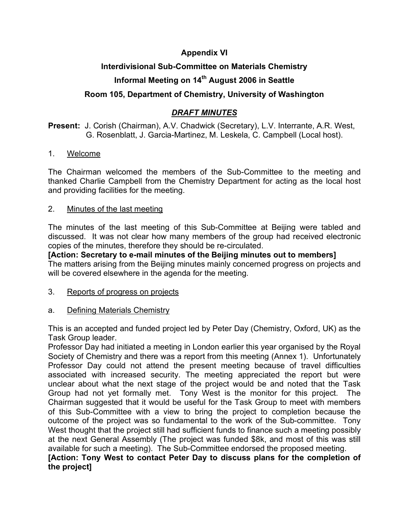## **Appendix VI**

## **Interdivisional Sub-Committee on Materials Chemistry**

# **Informal Meeting on 14th August 2006 in Seattle**

## **Room 105, Department of Chemistry, University of Washington**

## *DRAFT MINUTES*

## **Present:** J. Corish (Chairman), A.V. Chadwick (Secretary), L.V. Interrante, A.R. West, G. Rosenblatt, J. Garcia-Martinez, M. Leskela, C. Campbell (Local host).

## 1. Welcome

The Chairman welcomed the members of the Sub-Committee to the meeting and thanked Charlie Campbell from the Chemistry Department for acting as the local host and providing facilities for the meeting.

## 2. Minutes of the last meeting

The minutes of the last meeting of this Sub-Committee at Beijing were tabled and discussed. It was not clear how many members of the group had received electronic copies of the minutes, therefore they should be re-circulated.

**[Action: Secretary to e-mail minutes of the Beijing minutes out to members]** The matters arising from the Beijing minutes mainly concerned progress on projects and will be covered elsewhere in the agenda for the meeting.

## 3. Reports of progress on projects

## a. Defining Materials Chemistry

This is an accepted and funded project led by Peter Day (Chemistry, Oxford, UK) as the Task Group leader.

Professor Day had initiated a meeting in London earlier this year organised by the Royal Society of Chemistry and there was a report from this meeting (Annex 1). Unfortunately Professor Day could not attend the present meeting because of travel difficulties associated with increased security. The meeting appreciated the report but were unclear about what the next stage of the project would be and noted that the Task Group had not yet formally met. Tony West is the monitor for this project. The Chairman suggested that it would be useful for the Task Group to meet with members of this Sub-Committee with a view to bring the project to completion because the outcome of the project was so fundamental to the work of the Sub-committee. Tony West thought that the project still had sufficient funds to finance such a meeting possibly at the next General Assembly (The project was funded \$8k, and most of this was still available for such a meeting). The Sub-Committee endorsed the proposed meeting.

## **[Action: Tony West to contact Peter Day to discuss plans for the completion of the project]**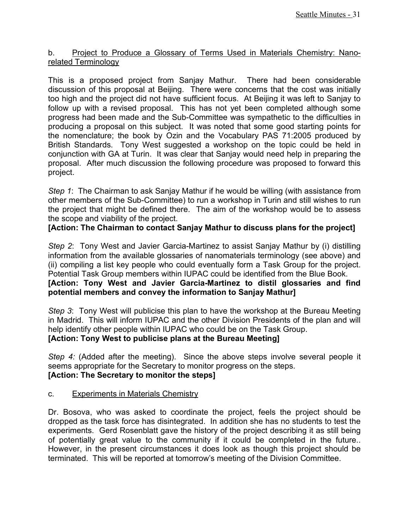## b. Project to Produce a Glossary of Terms Used in Materials Chemistry: Nanorelated Terminology

This is a proposed project from Sanjay Mathur. There had been considerable discussion of this proposal at Beijing. There were concerns that the cost was initially too high and the project did not have sufficient focus. At Beijing it was left to Sanjay to follow up with a revised proposal. This has not yet been completed although some progress had been made and the Sub-Committee was sympathetic to the difficulties in producing a proposal on this subject. It was noted that some good starting points for the nomenclature; the book by Ozin and the Vocabulary PAS 71:2005 produced by British Standards. Tony West suggested a workshop on the topic could be held in conjunction with GA at Turin. It was clear that Sanjay would need help in preparing the proposal. After much discussion the following procedure was proposed to forward this project.

*Step 1*: The Chairman to ask Sanjay Mathur if he would be willing (with assistance from other members of the Sub-Committee) to run a workshop in Turin and still wishes to run the project that might be defined there. The aim of the workshop would be to assess the scope and viability of the project.

## **[Action: The Chairman to contact Sanjay Mathur to discuss plans for the project]**

*Step 2*: Tony West and Javier Garcia-Martinez to assist Sanjay Mathur by (i) distilling information from the available glossaries of nanomaterials terminology (see above) and (ii) compiling a list key people who could eventually form a Task Group for the project. Potential Task Group members within IUPAC could be identified from the Blue Book. **[Action: Tony West and Javier Garcia-Martinez to distil glossaries and find potential members and convey the information to Sanjay Mathur]**

*Step 3*: Tony West will publicise this plan to have the workshop at the Bureau Meeting in Madrid. This will inform IUPAC and the other Division Presidents of the plan and will help identify other people within IUPAC who could be on the Task Group. **[Action: Tony West to publicise plans at the Bureau Meeting]**

*Step* 4: (Added after the meeting). Since the above steps involve several people it seems appropriate for the Secretary to monitor progress on the steps. **[Action: The Secretary to monitor the steps]**

## c. Experiments in Materials Chemistry

Dr. Bosova, who was asked to coordinate the project, feels the project should be dropped as the task force has disintegrated. In addition she has no students to test the experiments. Gerd Rosenblatt gave the history of the project describing it as still being of potentially great value to the community if it could be completed in the future.. However, in the present circumstances it does look as though this project should be terminated. This will be reported at tomorrow's meeting of the Division Committee.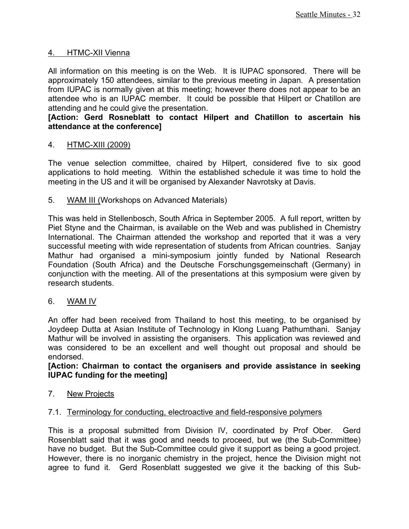## 4. HTMC-XII Vienna

All information on this meeting is on the Web. It is IUPAC sponsored. There will be approximately 150 attendees, similar to the previous meeting in Japan. A presentation from IUPAC is normally given at this meeting; however there does not appear to be an attendee who is an IUPAC member. It could be possible that Hilpert or Chatillon are attending and he could give the presentation.

## **[Action: Gerd Rosneblatt to contact Hilpert and Chatillon to ascertain his attendance at the conference]**

## 4. HTMC-XIII (2009)

The venue selection committee, chaired by Hilpert, considered five to six good applications to hold meeting. Within the established schedule it was time to hold the meeting in the US and it will be organised by Alexander Navrotsky at Davis.

## 5. WAM III (Workshops on Advanced Materials)

This was held in Stellenbosch, South Africa in September 2005. A full report, written by Piet Styne and the Chairman, is available on the Web and was published in Chemistry International. The Chairman attended the workshop and reported that it was a very successful meeting with wide representation of students from African countries. Sanjay Mathur had organised a mini-symposium jointly funded by National Research Foundation (South Africa) and the Deutsche Forschungsgemeinschaft (Germany) in conjunction with the meeting. All of the presentations at this symposium were given by research students.

## 6. WAM IV

An offer had been received from Thailand to host this meeting, to be organised by Joydeep Dutta at Asian Institute of Technology in Klong Luang Pathumthani. Sanjay Mathur will be involved in assisting the organisers. This application was reviewed and was considered to be an excellent and well thought out proposal and should be endorsed.

## **[Action: Chairman to contact the organisers and provide assistance in seeking IUPAC funding for the meeting]**

## 7. New Projects

## 7.1. Terminology for conducting, electroactive and field-responsive polymers

This is a proposal submitted from Division IV, coordinated by Prof Ober. Gerd Rosenblatt said that it was good and needs to proceed, but we (the Sub-Committee) have no budget. But the Sub-Committee could give it support as being a good project. However, there is no inorganic chemistry in the project, hence the Division might not agree to fund it. Gerd Rosenblatt suggested we give it the backing of this Sub-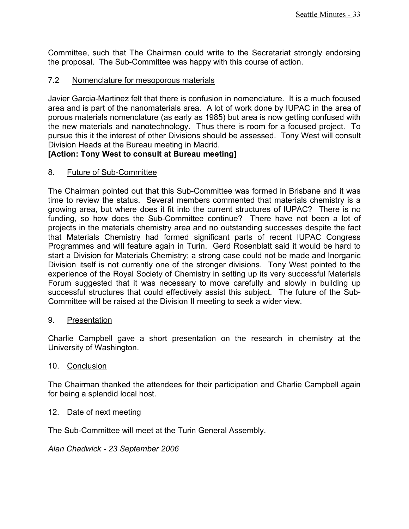Committee, such that The Chairman could write to the Secretariat strongly endorsing the proposal. The Sub-Committee was happy with this course of action.

## 7.2 Nomenclature for mesoporous materials

Javier Garcia-Martinez felt that there is confusion in nomenclature. It is a much focused area and is part of the nanomaterials area. A lot of work done by IUPAC in the area of porous materials nomenclature (as early as 1985) but area is now getting confused with the new materials and nanotechnology. Thus there is room for a focused project. To pursue this it the interest of other Divisions should be assessed. Tony West will consult Division Heads at the Bureau meeting in Madrid.

## **[Action: Tony West to consult at Bureau meeting]**

## 8. Future of Sub-Committee

The Chairman pointed out that this Sub-Committee was formed in Brisbane and it was time to review the status. Several members commented that materials chemistry is a growing area, but where does it fit into the current structures of IUPAC? There is no funding, so how does the Sub-Committee continue? There have not been a lot of projects in the materials chemistry area and no outstanding successes despite the fact that Materials Chemistry had formed significant parts of recent IUPAC Congress Programmes and will feature again in Turin. Gerd Rosenblatt said it would be hard to start a Division for Materials Chemistry; a strong case could not be made and Inorganic Division itself is not currently one of the stronger divisions. Tony West pointed to the experience of the Royal Society of Chemistry in setting up its very successful Materials Forum suggested that it was necessary to move carefully and slowly in building up successful structures that could effectively assist this subject. The future of the Sub-Committee will be raised at the Division II meeting to seek a wider view.

## 9. Presentation

Charlie Campbell gave a short presentation on the research in chemistry at the University of Washington.

## 10. Conclusion

The Chairman thanked the attendees for their participation and Charlie Campbell again for being a splendid local host.

## 12. Date of next meeting

The Sub-Committee will meet at the Turin General Assembly.

*Alan Chadwick - 23 September 2006*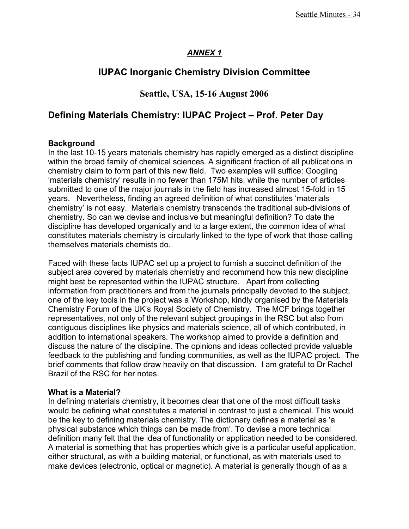## *ANNEX 1*

## **IUPAC Inorganic Chemistry Division Committee**

## **Seattle, USA, 15-16 August 2006**

## **Defining Materials Chemistry: IUPAC Project – Prof. Peter Day**

## **Background**

In the last 10-15 years materials chemistry has rapidly emerged as a distinct discipline within the broad family of chemical sciences. A significant fraction of all publications in chemistry claim to form part of this new field. Two examples will suffice: Googling 'materials chemistry' results in no fewer than 175M hits, while the number of articles submitted to one of the major journals in the field has increased almost 15-fold in 15 years. Nevertheless, finding an agreed definition of what constitutes 'materials chemistry' is not easy. Materials chemistry transcends the traditional sub-divisions of chemistry. So can we devise and inclusive but meaningful definition? To date the discipline has developed organically and to a large extent, the common idea of what constitutes materials chemistry is circularly linked to the type of work that those calling themselves materials chemists do.

Faced with these facts IUPAC set up a project to furnish a succinct definition of the subject area covered by materials chemistry and recommend how this new discipline might best be represented within the IUPAC structure. Apart from collecting information from practitioners and from the journals principally devoted to the subject, one of the key tools in the project was a Workshop, kindly organised by the Materials Chemistry Forum of the UK's Royal Society of Chemistry. The MCF brings together representatives, not only of the relevant subject groupings in the RSC but also from contiguous disciplines like physics and materials science, all of which contributed, in addition to international speakers. The workshop aimed to provide a definition and discuss the nature of the discipline. The opinions and ideas collected provide valuable feedback to the publishing and funding communities, as well as the IUPAC project. The brief comments that follow draw heavily on that discussion. I am grateful to Dr Rachel Brazil of the RSC for her notes.

### **What is a Material?**

In defining materials chemistry, it becomes clear that one of the most difficult tasks would be defining what constitutes a material in contrast to just a chemical. This would be the key to defining materials chemistry. The dictionary defines a material as 'a physical substance which things can be made from'. To devise a more technical definition many felt that the idea of functionality or application needed to be considered. A material is something that has properties which give is a particular useful application, either structural, as with a building material, or functional, as with materials used to make devices (electronic, optical or magnetic). A material is generally though of as a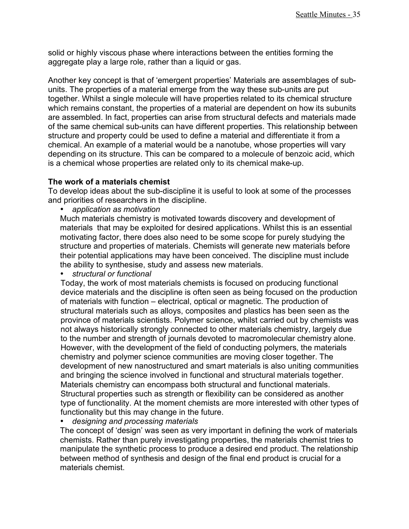solid or highly viscous phase where interactions between the entities forming the aggregate play a large role, rather than a liquid or gas.

Another key concept is that of 'emergent properties' Materials are assemblages of subunits. The properties of a material emerge from the way these sub-units are put together. Whilst a single molecule will have properties related to its chemical structure which remains constant, the properties of a material are dependent on how its subunits are assembled. In fact, properties can arise from structural defects and materials made of the same chemical sub-units can have different properties. This relationship between structure and property could be used to define a material and differentiate it from a chemical. An example of a material would be a nanotube, whose properties will vary depending on its structure. This can be compared to a molecule of benzoic acid, which is a chemical whose properties are related only to its chemical make-up.

## **The work of a materials chemist**

To develop ideas about the sub-discipline it is useful to look at some of the processes and priorities of researchers in the discipline.

• *application as motivation*

Much materials chemistry is motivated towards discovery and development of materials that may be exploited for desired applications. Whilst this is an essential motivating factor, there does also need to be some scope for purely studying the structure and properties of materials. Chemists will generate new materials before their potential applications may have been conceived. The discipline must include the ability to synthesise, study and assess new materials.

• *structural or functional*

Today, the work of most materials chemists is focused on producing functional device materials and the discipline is often seen as being focused on the production of materials with function – electrical, optical or magnetic. The production of structural materials such as alloys, composites and plastics has been seen as the province of materials scientists. Polymer science, whilst carried out by chemists was not always historically strongly connected to other materials chemistry, largely due to the number and strength of journals devoted to macromolecular chemistry alone. However, with the development of the field of conducting polymers, the materials chemistry and polymer science communities are moving closer together. The development of new nanostructured and smart materials is also uniting communities and bringing the science involved in functional and structural materials together. Materials chemistry can encompass both structural and functional materials. Structural properties such as strength or flexibility can be considered as another type of functionality. At the moment chemists are more interested with other types of functionality but this may change in the future.

• *designing and processing materials*

The concept of 'design' was seen as very important in defining the work of materials chemists. Rather than purely investigating properties, the materials chemist tries to manipulate the synthetic process to produce a desired end product. The relationship between method of synthesis and design of the final end product is crucial for a materials chemist.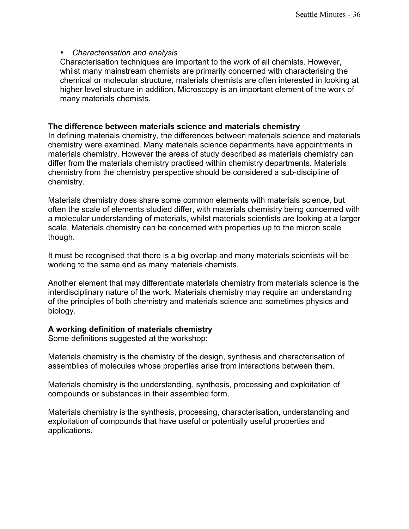## • *Characterisation and analysis*

Characterisation techniques are important to the work of all chemists. However, whilst many mainstream chemists are primarily concerned with characterising the chemical or molecular structure, materials chemists are often interested in looking at higher level structure in addition. Microscopy is an important element of the work of many materials chemists.

## **The difference between materials science and materials chemistry**

In defining materials chemistry, the differences between materials science and materials chemistry were examined. Many materials science departments have appointments in materials chemistry. However the areas of study described as materials chemistry can differ from the materials chemistry practised within chemistry departments. Materials chemistry from the chemistry perspective should be considered a sub-discipline of chemistry.

Materials chemistry does share some common elements with materials science, but often the scale of elements studied differ, with materials chemistry being concerned with a molecular understanding of materials, whilst materials scientists are looking at a larger scale. Materials chemistry can be concerned with properties up to the micron scale though.

It must be recognised that there is a big overlap and many materials scientists will be working to the same end as many materials chemists.

Another element that may differentiate materials chemistry from materials science is the interdisciplinary nature of the work. Materials chemistry may require an understanding of the principles of both chemistry and materials science and sometimes physics and biology.

## **A working definition of materials chemistry**

Some definitions suggested at the workshop:

Materials chemistry is the chemistry of the design, synthesis and characterisation of assemblies of molecules whose properties arise from interactions between them.

Materials chemistry is the understanding, synthesis, processing and exploitation of compounds or substances in their assembled form.

Materials chemistry is the synthesis, processing, characterisation, understanding and exploitation of compounds that have useful or potentially useful properties and applications.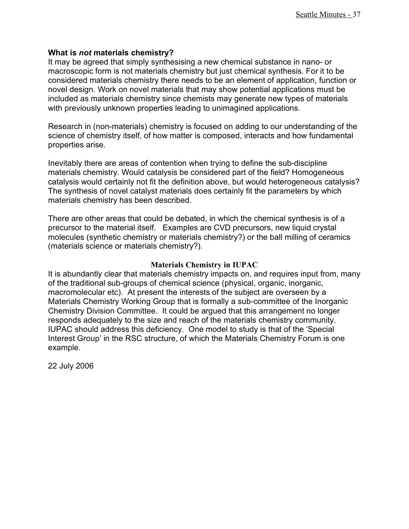### **What is** *not* **materials chemistry?**

It may be agreed that simply synthesising a new chemical substance in nano- or macroscopic form is not materials chemistry but just chemical synthesis. For it to be considered materials chemistry there needs to be an element of application, function or novel design. Work on novel materials that may show potential applications must be included as materials chemistry since chemists may generate new types of materials with previously unknown properties leading to unimagined applications.

Research in (non-materials) chemistry is focused on adding to our understanding of the science of chemistry itself, of how matter is composed, interacts and how fundamental properties arise.

Inevitably there are areas of contention when trying to define the sub-discipline materials chemistry. Would catalysis be considered part of the field? Homogeneous catalysis would certainly not fit the definition above, but would heterogeneous catalysis? The synthesis of novel catalyst materials does certainly fit the parameters by which materials chemistry has been described.

There are other areas that could be debated, in which the chemical synthesis is of a precursor to the material itself. Examples are CVD precursors, new liquid crystal molecules (synthetic chemistry or materials chemistry?) or the ball milling of ceramics (materials science or materials chemistry?).

### **Materials Chemistry in IUPAC**

It is abundantly clear that materials chemistry impacts on, and requires input from, many of the traditional sub-groups of chemical science (physical, organic, inorganic, macromolecular etc). At present the interests of the subject are overseen by a Materials Chemistry Working Group that is formally a sub-committee of the Inorganic Chemistry Division Committee. It could be argued that this arrangement no longer responds adequately to the size and reach of the materials chemistry community. IUPAC should address this deficiency. One model to study is that of the 'Special Interest Group' in the RSC structure, of which the Materials Chemistry Forum is one example.

22 July 2006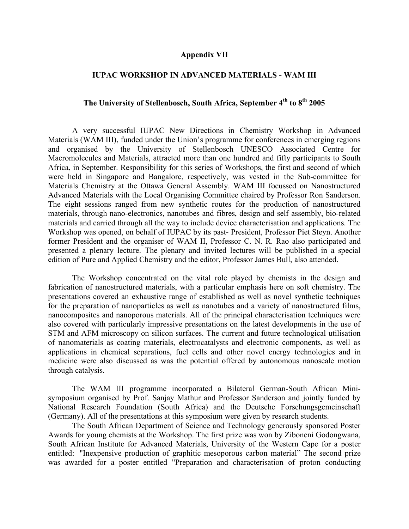#### **Appendix VII**

### **IUPAC WORKSHOP IN ADVANCED MATERIALS - WAM III**

## **The University of Stellenbosch, South Africa, September 4th to 8th 2005**

A very successful IUPAC New Directions in Chemistry Workshop in Advanced Materials (WAM III), funded under the Union's programme for conferences in emerging regions and organised by the University of Stellenbosch UNESCO Associated Centre for Macromolecules and Materials, attracted more than one hundred and fifty participants to South Africa, in September. Responsibility for this series of Workshops, the first and second of which were held in Singapore and Bangalore, respectively, was vested in the Sub-committee for Materials Chemistry at the Ottawa General Assembly. WAM III focussed on Nanostructured Advanced Materials with the Local Organising Committee chaired by Professor Ron Sanderson. The eight sessions ranged from new synthetic routes for the production of nanostructured materials, through nano-electronics, nanotubes and fibres, design and self assembly, bio-related materials and carried through all the way to include device characterisation and applications. The Workshop was opened, on behalf of IUPAC by its past- President, Professor Piet Steyn. Another former President and the organiser of WAM II, Professor C. N. R. Rao also participated and presented a plenary lecture. The plenary and invited lectures will be published in a special edition of Pure and Applied Chemistry and the editor, Professor James Bull, also attended.

The Workshop concentrated on the vital role played by chemists in the design and fabrication of nanostructured materials, with a particular emphasis here on soft chemistry. The presentations covered an exhaustive range of established as well as novel synthetic techniques for the preparation of nanoparticles as well as nanotubes and a variety of nanostructured films, nanocomposites and nanoporous materials. All of the principal characterisation techniques were also covered with particularly impressive presentations on the latest developments in the use of STM and AFM microscopy on silicon surfaces. The current and future technological utilisation of nanomaterials as coating materials, electrocatalysts and electronic components, as well as applications in chemical separations, fuel cells and other novel energy technologies and in medicine were also discussed as was the potential offered by autonomous nanoscale motion through catalysis.

The WAM III programme incorporated a Bilateral German-South African Minisymposium organised by Prof. Sanjay Mathur and Professor Sanderson and jointly funded by National Research Foundation (South Africa) and the Deutsche Forschungsgemeinschaft (Germany). All of the presentations at this symposium were given by research students.

The South African Department of Science and Technology generously sponsored Poster Awards for young chemists at the Workshop. The first prize was won by Ziboneni Godongwana, South African Institute for Advanced Materials, University of the Western Cape for a poster entitled: "Inexpensive production of graphitic mesoporous carbon material" The second prize was awarded for a poster entitled "Preparation and characterisation of proton conducting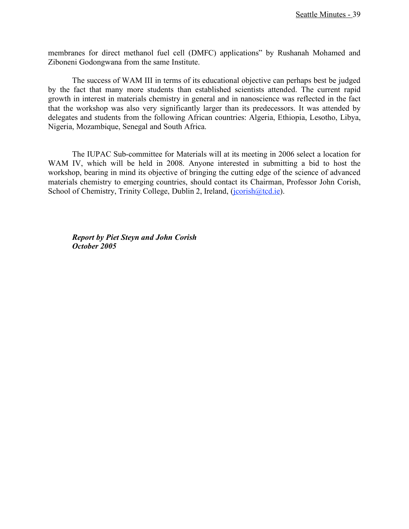membranes for direct methanol fuel cell (DMFC) applications" by Rushanah Mohamed and Ziboneni Godongwana from the same Institute.

The success of WAM III in terms of its educational objective can perhaps best be judged by the fact that many more students than established scientists attended. The current rapid growth in interest in materials chemistry in general and in nanoscience was reflected in the fact that the workshop was also very significantly larger than its predecessors. It was attended by delegates and students from the following African countries: Algeria, Ethiopia, Lesotho, Libya, Nigeria, Mozambique, Senegal and South Africa.

The IUPAC Sub-committee for Materials will at its meeting in 2006 select a location for WAM IV, which will be held in 2008. Anyone interested in submitting a bid to host the workshop, bearing in mind its objective of bringing the cutting edge of the science of advanced materials chemistry to emerging countries, should contact its Chairman, Professor John Corish, School of Chemistry, Trinity College, Dublin 2, Ireland, (jcorish@tcd.ie).

*Report by Piet Steyn and John Corish October 2005*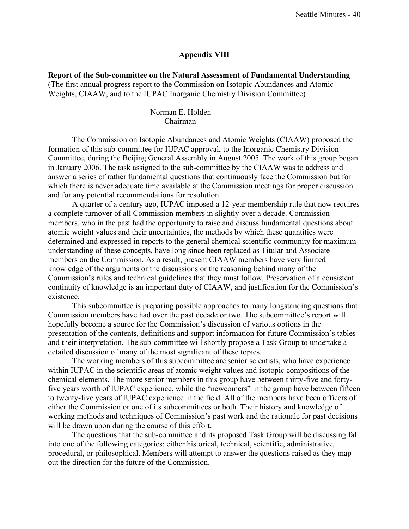### **Appendix VIII**

**Report of the Sub-committee on the Natural Assessment of Fundamental Understanding** (The first annual progress report to the Commission on Isotopic Abundances and Atomic Weights, CIAAW, and to the IUPAC Inorganic Chemistry Division Committee)

> Norman E. Holden Chairman

The Commission on Isotopic Abundances and Atomic Weights (CIAAW) proposed the formation of this sub-committee for IUPAC approval, to the Inorganic Chemistry Division Committee, during the Beijing General Assembly in August 2005. The work of this group began in January 2006. The task assigned to the sub-committee by the CIAAW was to address and answer a series of rather fundamental questions that continuously face the Commission but for which there is never adequate time available at the Commission meetings for proper discussion and for any potential recommendations for resolution.

A quarter of a century ago, IUPAC imposed a 12-year membership rule that now requires a complete turnover of all Commission members in slightly over a decade. Commission members, who in the past had the opportunity to raise and discuss fundamental questions about atomic weight values and their uncertainties, the methods by which these quantities were determined and expressed in reports to the general chemical scientific community for maximum understanding of these concepts, have long since been replaced as Titular and Associate members on the Commission. As a result, present CIAAW members have very limited knowledge of the arguments or the discussions or the reasoning behind many of the Commission's rules and technical guidelines that they must follow. Preservation of a consistent continuity of knowledge is an important duty of CIAAW, and justification for the Commission's existence.

This subcommittee is preparing possible approaches to many longstanding questions that Commission members have had over the past decade or two. The subcommittee's report will hopefully become a source for the Commission's discussion of various options in the presentation of the contents, definitions and support information for future Commission's tables and their interpretation. The sub-committee will shortly propose a Task Group to undertake a detailed discussion of many of the most significant of these topics.

The working members of this subcommittee are senior scientists, who have experience within IUPAC in the scientific areas of atomic weight values and isotopic compositions of the chemical elements. The more senior members in this group have between thirty-five and fortyfive years worth of IUPAC experience, while the "newcomers" in the group have between fifteen to twenty-five years of IUPAC experience in the field. All of the members have been officers of either the Commission or one of its subcommittees or both. Their history and knowledge of working methods and techniques of Commission's past work and the rationale for past decisions will be drawn upon during the course of this effort.

The questions that the sub-committee and its proposed Task Group will be discussing fall into one of the following categories: either historical, technical, scientific, administrative, procedural, or philosophical. Members will attempt to answer the questions raised as they map out the direction for the future of the Commission.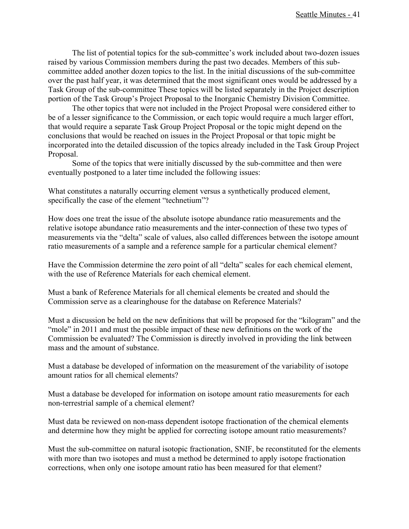The list of potential topics for the sub-committee's work included about two-dozen issues raised by various Commission members during the past two decades. Members of this subcommittee added another dozen topics to the list. In the initial discussions of the sub-committee over the past half year, it was determined that the most significant ones would be addressed by a Task Group of the sub-committee These topics will be listed separately in the Project description portion of the Task Group's Project Proposal to the Inorganic Chemistry Division Committee.

The other topics that were not included in the Project Proposal were considered either to be of a lesser significance to the Commission, or each topic would require a much larger effort, that would require a separate Task Group Project Proposal or the topic might depend on the conclusions that would be reached on issues in the Project Proposal or that topic might be incorporated into the detailed discussion of the topics already included in the Task Group Project Proposal.

Some of the topics that were initially discussed by the sub-committee and then were eventually postponed to a later time included the following issues:

What constitutes a naturally occurring element versus a synthetically produced element, specifically the case of the element "technetium"?

How does one treat the issue of the absolute isotope abundance ratio measurements and the relative isotope abundance ratio measurements and the inter-connection of these two types of measurements via the "delta" scale of values, also called differences between the isotope amount ratio measurements of a sample and a reference sample for a particular chemical element?

Have the Commission determine the zero point of all "delta" scales for each chemical element, with the use of Reference Materials for each chemical element.

Must a bank of Reference Materials for all chemical elements be created and should the Commission serve as a clearinghouse for the database on Reference Materials?

Must a discussion be held on the new definitions that will be proposed for the "kilogram" and the "mole" in 2011 and must the possible impact of these new definitions on the work of the Commission be evaluated? The Commission is directly involved in providing the link between mass and the amount of substance.

Must a database be developed of information on the measurement of the variability of isotope amount ratios for all chemical elements?

Must a database be developed for information on isotope amount ratio measurements for each non-terrestrial sample of a chemical element?

Must data be reviewed on non-mass dependent isotope fractionation of the chemical elements and determine how they might be applied for correcting isotope amount ratio measurements?

Must the sub-committee on natural isotopic fractionation, SNIF, be reconstituted for the elements with more than two isotopes and must a method be determined to apply isotope fractionation corrections, when only one isotope amount ratio has been measured for that element?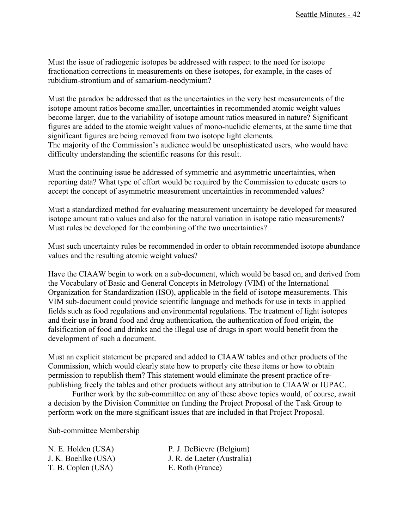Must the issue of radiogenic isotopes be addressed with respect to the need for isotope fractionation corrections in measurements on these isotopes, for example, in the cases of rubidium-strontium and of samarium-neodymium?

Must the paradox be addressed that as the uncertainties in the very best measurements of the isotope amount ratios become smaller, uncertainties in recommended atomic weight values become larger, due to the variability of isotope amount ratios measured in nature? Significant figures are added to the atomic weight values of mono-nuclidic elements, at the same time that significant figures are being removed from two isotope light elements. The majority of the Commission's audience would be unsophisticated users, who would have difficulty understanding the scientific reasons for this result.

Must the continuing issue be addressed of symmetric and asymmetric uncertainties, when reporting data? What type of effort would be required by the Commission to educate users to accept the concept of asymmetric measurement uncertainties in recommended values?

Must a standardized method for evaluating measurement uncertainty be developed for measured isotope amount ratio values and also for the natural variation in isotope ratio measurements? Must rules be developed for the combining of the two uncertainties?

Must such uncertainty rules be recommended in order to obtain recommended isotope abundance values and the resulting atomic weight values?

Have the CIAAW begin to work on a sub-document, which would be based on, and derived from the Vocabulary of Basic and General Concepts in Metrology (VIM) of the International Organization for Standardization (ISO), applicable in the field of isotope measurements. This VIM sub-document could provide scientific language and methods for use in texts in applied fields such as food regulations and environmental regulations. The treatment of light isotopes and their use in brand food and drug authentication, the authentication of food origin, the falsification of food and drinks and the illegal use of drugs in sport would benefit from the development of such a document.

Must an explicit statement be prepared and added to CIAAW tables and other products of the Commission, which would clearly state how to properly cite these items or how to obtain permission to republish them? This statement would eliminate the present practice of republishing freely the tables and other products without any attribution to CIAAW or IUPAC.

Further work by the sub-committee on any of these above topics would, of course, await a decision by the Division Committee on funding the Project Proposal of the Task Group to perform work on the more significant issues that are included in that Project Proposal.

Sub-committee Membership

| N. E. Holden (USA)  | P. J. DeBievre (Belgium)    |
|---------------------|-----------------------------|
| J. K. Boehlke (USA) | J. R. de Laeter (Australia) |
| T. B. Coplen (USA)  | E. Roth (France)            |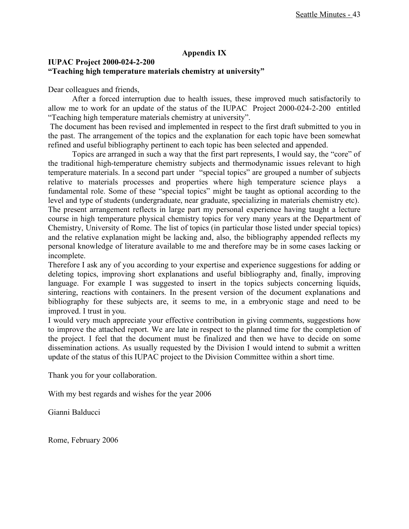## **Appendix IX**

## **IUPAC Project 2000-024-2-200 "Teaching high temperature materials chemistry at university"**

Dear colleagues and friends,

After a forced interruption due to health issues, these improved much satisfactorily to allow me to work for an update of the status of the IUPAC Project 2000-024-2-200 entitled "Teaching high temperature materials chemistry at university".

The document has been revised and implemented in respect to the first draft submitted to you in the past. The arrangement of the topics and the explanation for each topic have been somewhat refined and useful bibliography pertinent to each topic has been selected and appended.

Topics are arranged in such a way that the first part represents, I would say, the "core" of the traditional high-temperature chemistry subjects and thermodynamic issues relevant to high temperature materials. In a second part under "special topics" are grouped a number of subjects relative to materials processes and properties where high temperature science plays a fundamental role. Some of these "special topics" might be taught as optional according to the level and type of students (undergraduate, near graduate, specializing in materials chemistry etc). The present arrangement reflects in large part my personal experience having taught a lecture course in high temperature physical chemistry topics for very many years at the Department of Chemistry, University of Rome. The list of topics (in particular those listed under special topics) and the relative explanation might be lacking and, also, the bibliography appended reflects my personal knowledge of literature available to me and therefore may be in some cases lacking or incomplete.

Therefore I ask any of you according to your expertise and experience suggestions for adding or deleting topics, improving short explanations and useful bibliography and, finally, improving language. For example I was suggested to insert in the topics subjects concerning liquids, sintering, reactions with containers. In the present version of the document explanations and bibliography for these subjects are, it seems to me, in a embryonic stage and need to be improved. I trust in you.

I would very much appreciate your effective contribution in giving comments, suggestions how to improve the attached report. We are late in respect to the planned time for the completion of the project. I feel that the document must be finalized and then we have to decide on some dissemination actions. As usually requested by the Division I would intend to submit a written update of the status of this IUPAC project to the Division Committee within a short time.

Thank you for your collaboration.

With my best regards and wishes for the year 2006

Gianni Balducci

Rome, February 2006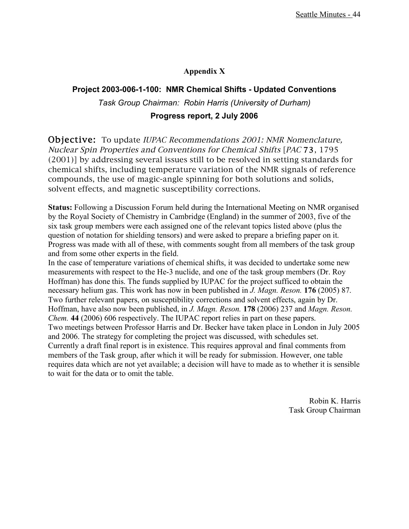## **Appendix X**

# **Project 2003-006-1-100: NMR Chemical Shifts - Updated Conventions** *Task Group Chairman: Robin Harris (University of Durham)* **Progress report, 2 July 2006**

Objective: To update IUPAC Recommendations 2001: NMR Nomenclature, Nuclear Spin Properties and Conventions for Chemical Shifts [PAC 73, 1795 (2001)] by addressing several issues still to be resolved in setting standards for chemical shifts, including temperature variation of the NMR signals of reference compounds, the use of magic-angle spinning for both solutions and solids, solvent effects, and magnetic susceptibility corrections.

**Status:** Following a Discussion Forum held during the International Meeting on NMR organised by the Royal Society of Chemistry in Cambridge (England) in the summer of 2003, five of the six task group members were each assigned one of the relevant topics listed above (plus the question of notation for shielding tensors) and were asked to prepare a briefing paper on it. Progress was made with all of these, with comments sought from all members of the task group and from some other experts in the field.

In the case of temperature variations of chemical shifts, it was decided to undertake some new measurements with respect to the He-3 nuclide, and one of the task group members (Dr. Roy Hoffman) has done this. The funds supplied by IUPAC for the project sufficed to obtain the necessary helium gas. This work has now in been published in *J. Magn. Reson.* **176** (2005) 87. Two further relevant papers, on susceptibility corrections and solvent effects, again by Dr. Hoffman, have also now been published, in *J. Magn. Reson.* **178** (2006) 237 and *Magn. Reson. Chem.* **44** (2006) 606 respectively. The IUPAC report relies in part on these papers. Two meetings between Professor Harris and Dr. Becker have taken place in London in July 2005 and 2006. The strategy for completing the project was discussed, with schedules set. Currently a draft final report is in existence. This requires approval and final comments from members of the Task group, after which it will be ready for submission. However, one table requires data which are not yet available; a decision will have to made as to whether it is sensible to wait for the data or to omit the table.

> Robin K. Harris Task Group Chairman